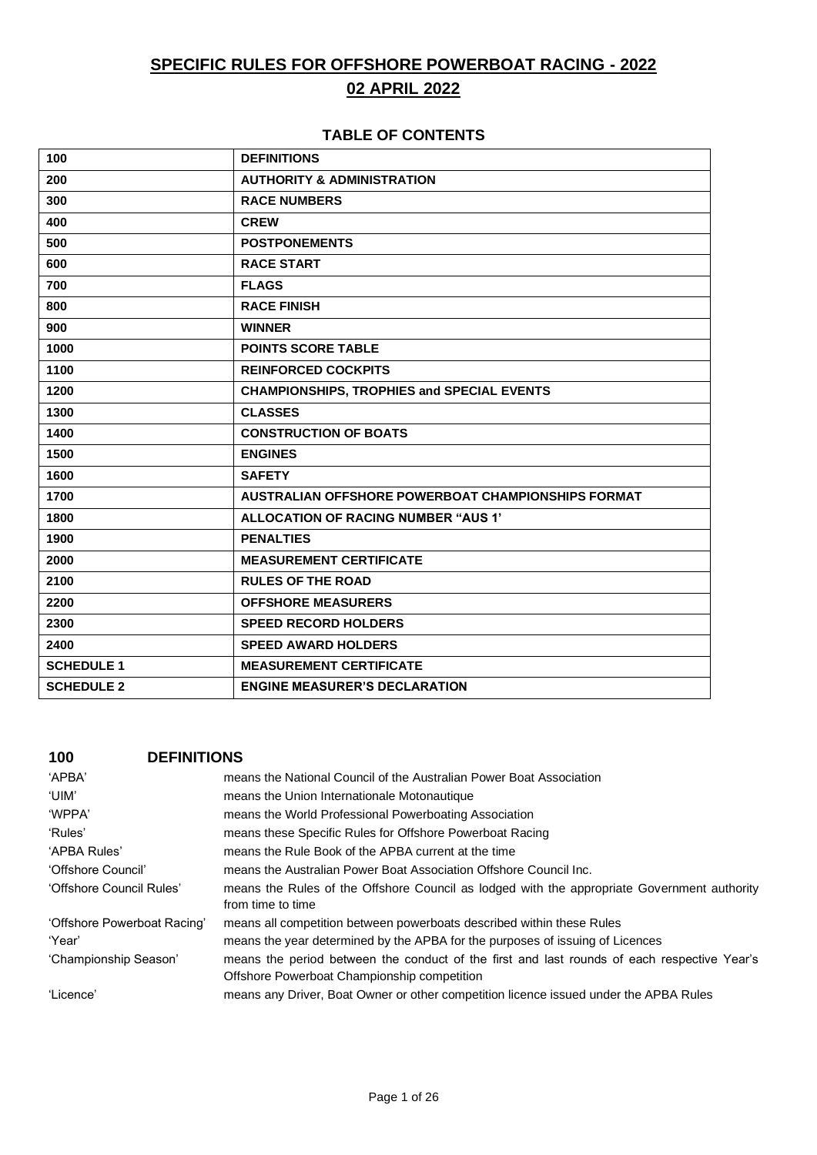# **SPECIFIC RULES FOR OFFSHORE POWERBOAT RACING - 2022 02 APRIL 2022**

## **TABLE OF CONTENTS**

| 100               | <b>DEFINITIONS</b>                                 |
|-------------------|----------------------------------------------------|
| 200               | <b>AUTHORITY &amp; ADMINISTRATION</b>              |
| 300               | <b>RACE NUMBERS</b>                                |
| 400               | <b>CREW</b>                                        |
| 500               | <b>POSTPONEMENTS</b>                               |
| 600               | <b>RACE START</b>                                  |
| 700               | <b>FLAGS</b>                                       |
| 800               | <b>RACE FINISH</b>                                 |
| 900               | <b>WINNER</b>                                      |
| 1000              | <b>POINTS SCORE TABLE</b>                          |
| 1100              | <b>REINFORCED COCKPITS</b>                         |
| 1200              | <b>CHAMPIONSHIPS, TROPHIES and SPECIAL EVENTS</b>  |
| 1300              | <b>CLASSES</b>                                     |
| 1400              | <b>CONSTRUCTION OF BOATS</b>                       |
| 1500              | <b>ENGINES</b>                                     |
| 1600              | <b>SAFETY</b>                                      |
| 1700              | AUSTRALIAN OFFSHORE POWERBOAT CHAMPIONSHIPS FORMAT |
| 1800              | ALLOCATION OF RACING NUMBER "AUS 1"                |
| 1900              | <b>PENALTIES</b>                                   |
| 2000              | <b>MEASUREMENT CERTIFICATE</b>                     |
| 2100              | <b>RULES OF THE ROAD</b>                           |
| 2200              | <b>OFFSHORE MEASURERS</b>                          |
| 2300              | <b>SPEED RECORD HOLDERS</b>                        |
| 2400              | <b>SPEED AWARD HOLDERS</b>                         |
| <b>SCHEDULE 1</b> | <b>MEASUREMENT CERTIFICATE</b>                     |
| <b>SCHEDULE 2</b> | <b>ENGINE MEASURER'S DECLARATION</b>               |

## **100 DEFINITIONS**

| 'APBA'                      | means the National Council of the Australian Power Boat Association                                                                        |
|-----------------------------|--------------------------------------------------------------------------------------------------------------------------------------------|
| 'UIM'                       | means the Union Internationale Motonautique                                                                                                |
| 'WPPA'                      | means the World Professional Powerboating Association                                                                                      |
| 'Rules'                     | means these Specific Rules for Offshore Powerboat Racing                                                                                   |
| 'APBA Rules'                | means the Rule Book of the APBA current at the time                                                                                        |
| 'Offshore Council'          | means the Australian Power Boat Association Offshore Council Inc.                                                                          |
| 'Offshore Council Rules'    | means the Rules of the Offshore Council as lodged with the appropriate Government authority<br>from time to time                           |
| 'Offshore Powerboat Racing' | means all competition between powerboats described within these Rules                                                                      |
| 'Year'                      | means the year determined by the APBA for the purposes of issuing of Licences                                                              |
| 'Championship Season'       | means the period between the conduct of the first and last rounds of each respective Year's<br>Offshore Powerboat Championship competition |
| 'Licence'                   | means any Driver, Boat Owner or other competition licence issued under the APBA Rules                                                      |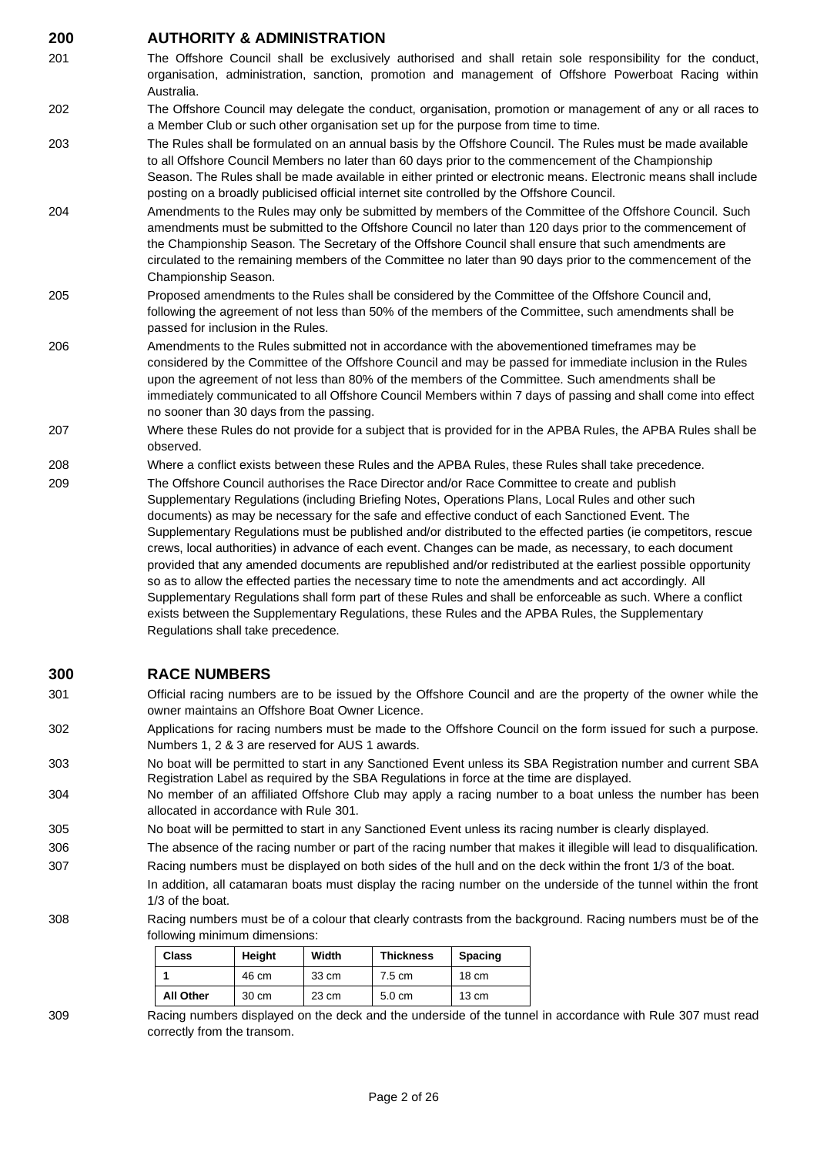# **200 AUTHORITY & ADMINISTRATION**

| 201 | The Offshore Council shall be exclusively authorised and shall retain sole responsibility for the conduct,<br>organisation, administration, sanction, promotion and management of Offshore Powerboat Racing within<br>Australia.                                                                                                                                                                                                                                                                                                                                                                                                                    |
|-----|-----------------------------------------------------------------------------------------------------------------------------------------------------------------------------------------------------------------------------------------------------------------------------------------------------------------------------------------------------------------------------------------------------------------------------------------------------------------------------------------------------------------------------------------------------------------------------------------------------------------------------------------------------|
| 202 | The Offshore Council may delegate the conduct, organisation, promotion or management of any or all races to<br>a Member Club or such other organisation set up for the purpose from time to time.                                                                                                                                                                                                                                                                                                                                                                                                                                                   |
| 203 | The Rules shall be formulated on an annual basis by the Offshore Council. The Rules must be made available<br>to all Offshore Council Members no later than 60 days prior to the commencement of the Championship<br>Season. The Rules shall be made available in either printed or electronic means. Electronic means shall include<br>posting on a broadly publicised official internet site controlled by the Offshore Council.                                                                                                                                                                                                                  |
| 204 | Amendments to the Rules may only be submitted by members of the Committee of the Offshore Council. Such<br>amendments must be submitted to the Offshore Council no later than 120 days prior to the commencement of<br>the Championship Season. The Secretary of the Offshore Council shall ensure that such amendments are<br>circulated to the remaining members of the Committee no later than 90 days prior to the commencement of the<br>Championship Season.                                                                                                                                                                                  |
| 205 | Proposed amendments to the Rules shall be considered by the Committee of the Offshore Council and,<br>following the agreement of not less than 50% of the members of the Committee, such amendments shall be<br>passed for inclusion in the Rules.                                                                                                                                                                                                                                                                                                                                                                                                  |
| 206 | Amendments to the Rules submitted not in accordance with the abovementioned timeframes may be<br>considered by the Committee of the Offshore Council and may be passed for immediate inclusion in the Rules<br>upon the agreement of not less than 80% of the members of the Committee. Such amendments shall be<br>immediately communicated to all Offshore Council Members within 7 days of passing and shall come into effect<br>no sooner than 30 days from the passing.                                                                                                                                                                        |
| 207 | Where these Rules do not provide for a subject that is provided for in the APBA Rules, the APBA Rules shall be<br>observed.                                                                                                                                                                                                                                                                                                                                                                                                                                                                                                                         |
| 208 | Where a conflict exists between these Rules and the APBA Rules, these Rules shall take precedence.                                                                                                                                                                                                                                                                                                                                                                                                                                                                                                                                                  |
| 209 | The Offshore Council authorises the Race Director and/or Race Committee to create and publish<br>Supplementary Regulations (including Briefing Notes, Operations Plans, Local Rules and other such<br>documents) as may be necessary for the safe and effective conduct of each Sanctioned Event. The<br>Supplementary Regulations must be published and/or distributed to the effected parties (ie competitors, rescue<br>crews, local authorities) in advance of each event. Changes can be made, as necessary, to each document<br>provided that any amended documents are republished and/or redistributed at the earliest possible opportunity |

so as to allow the effected parties the necessary time to note the amendments and act accordingly. All Supplementary Regulations shall form part of these Rules and shall be enforceable as such. Where a conflict exists between the Supplementary Regulations, these Rules and the APBA Rules, the Supplementary Regulations shall take precedence.

# **300 RACE NUMBERS**

- 301 Official racing numbers are to be issued by the Offshore Council and are the property of the owner while the owner maintains an Offshore Boat Owner Licence.
- 302 Applications for racing numbers must be made to the Offshore Council on the form issued for such a purpose. Numbers 1, 2 & 3 are reserved for AUS 1 awards.
- 303 No boat will be permitted to start in any Sanctioned Event unless its SBA Registration number and current SBA Registration Label as required by the SBA Regulations in force at the time are displayed.
- 304 No member of an affiliated Offshore Club may apply a racing number to a boat unless the number has been allocated in accordance with Rule 301.
- 305 No boat will be permitted to start in any Sanctioned Event unless its racing number is clearly displayed.
- 306 The absence of the racing number or part of the racing number that makes it illegible will lead to disqualification.
- 307 Racing numbers must be displayed on both sides of the hull and on the deck within the front 1/3 of the boat.
	- In addition, all catamaran boats must display the racing number on the underside of the tunnel within the front 1/3 of the boat.
- 308 Racing numbers must be of a colour that clearly contrasts from the background. Racing numbers must be of the following minimum dimensions:

| <b>Class</b>     | Height | Width | <b>Thickness</b> | Spacing         |
|------------------|--------|-------|------------------|-----------------|
|                  | 46 cm  | 33 cm | $7.5 \text{ cm}$ | $18 \text{ cm}$ |
| <b>All Other</b> | 30 cm  | 23 cm | $5.0 \text{ cm}$ | $13 \text{ cm}$ |

309 Racing numbers displayed on the deck and the underside of the tunnel in accordance with Rule 307 must read correctly from the transom.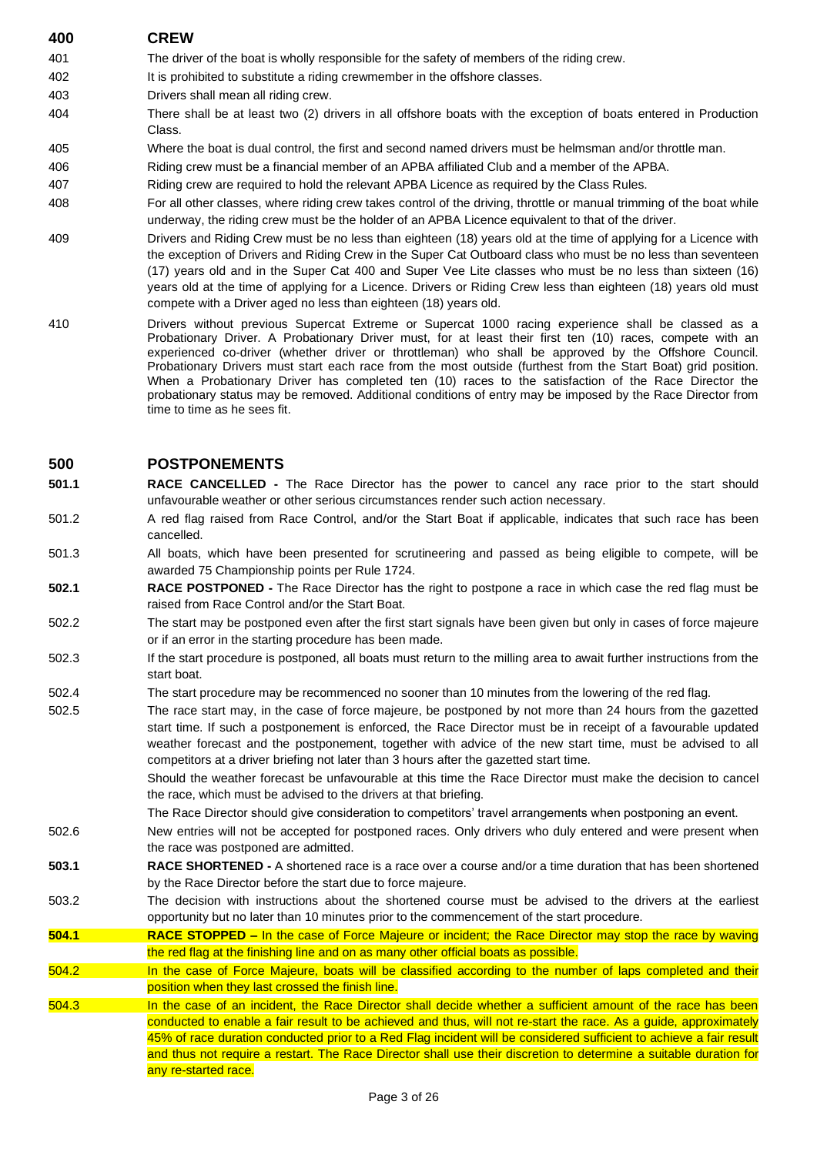# **400 CREW** 401 The driver of the boat is wholly responsible for the safety of members of the riding crew. 402 It is prohibited to substitute a riding crewmember in the offshore classes. 403 Drivers shall mean all riding crew. 404 There shall be at least two (2) drivers in all offshore boats with the exception of boats entered in Production Class. 405 Where the boat is dual control, the first and second named drivers must be helmsman and/or throttle man. 406 Riding crew must be a financial member of an APBA affiliated Club and a member of the APBA. 407 Riding crew are required to hold the relevant APBA Licence as required by the Class Rules. 408 For all other classes, where riding crew takes control of the driving, throttle or manual trimming of the boat while underway, the riding crew must be the holder of an APBA Licence equivalent to that of the driver. 409 Drivers and Riding Crew must be no less than eighteen (18) years old at the time of applying for a Licence with the exception of Drivers and Riding Crew in the Super Cat Outboard class who must be no less than seventeen (17) years old and in the Super Cat 400 and Super Vee Lite classes who must be no less than sixteen (16) years old at the time of applying for a Licence. Drivers or Riding Crew less than eighteen (18) years old must compete with a Driver aged no less than eighteen (18) years old.

410 Drivers without previous Supercat Extreme or Supercat 1000 racing experience shall be classed as a Probationary Driver. A Probationary Driver must, for at least their first ten (10) races, compete with an experienced co-driver (whether driver or throttleman) who shall be approved by the Offshore Council. Probationary Drivers must start each race from the most outside (furthest from the Start Boat) grid position. When a Probationary Driver has completed ten (10) races to the satisfaction of the Race Director the probationary status may be removed. Additional conditions of entry may be imposed by the Race Director from time to time as he sees fit.

# **500 POSTPONEMENTS**

**501.1 RACE CANCELLED -** The Race Director has the power to cancel any race prior to the start should unfavourable weather or other serious circumstances render such action necessary.

- 501.2 A red flag raised from Race Control, and/or the Start Boat if applicable, indicates that such race has been cancelled.
- 501.3 All boats, which have been presented for scrutineering and passed as being eligible to compete, will be awarded 75 Championship points per Rule 1724.
- **502.1 RACE POSTPONED -** The Race Director has the right to postpone a race in which case the red flag must be raised from Race Control and/or the Start Boat.
- 502.2 The start may be postponed even after the first start signals have been given but only in cases of force majeure or if an error in the starting procedure has been made.
- 502.3 If the start procedure is postponed, all boats must return to the milling area to await further instructions from the start boat.
- 502.4 The start procedure may be recommenced no sooner than 10 minutes from the lowering of the red flag.
- 502.5 The race start may, in the case of force majeure, be postponed by not more than 24 hours from the gazetted start time. If such a postponement is enforced, the Race Director must be in receipt of a favourable updated weather forecast and the postponement, together with advice of the new start time, must be advised to all competitors at a driver briefing not later than 3 hours after the gazetted start time.

Should the weather forecast be unfavourable at this time the Race Director must make the decision to cancel the race, which must be advised to the drivers at that briefing.

The Race Director should give consideration to competitors' travel arrangements when postponing an event.

- 502.6 New entries will not be accepted for postponed races. Only drivers who duly entered and were present when the race was postponed are admitted.
- **503.1 RACE SHORTENED -** A shortened race is a race over a course and/or a time duration that has been shortened by the Race Director before the start due to force majeure.
- 503.2 The decision with instructions about the shortened course must be advised to the drivers at the earliest opportunity but no later than 10 minutes prior to the commencement of the start procedure.
- **504.1** RACE STOPPED In the case of Force Majeure or incident; the Race Director may stop the race by waving the red flag at the finishing line and on as many other official boats as possible.
- 504.2 In the case of Force Majeure, boats will be classified according to the number of laps completed and their position when they last crossed the finish line.
- 504.3 In the case of an incident, the Race Director shall decide whether a sufficient amount of the race has been conducted to enable a fair result to be achieved and thus, will not re-start the race. As a guide, approximately 45% of race duration conducted prior to a Red Flag incident will be considered sufficient to achieve a fair result and thus not require a restart. The Race Director shall use their discretion to determine a suitable duration for any re-started race.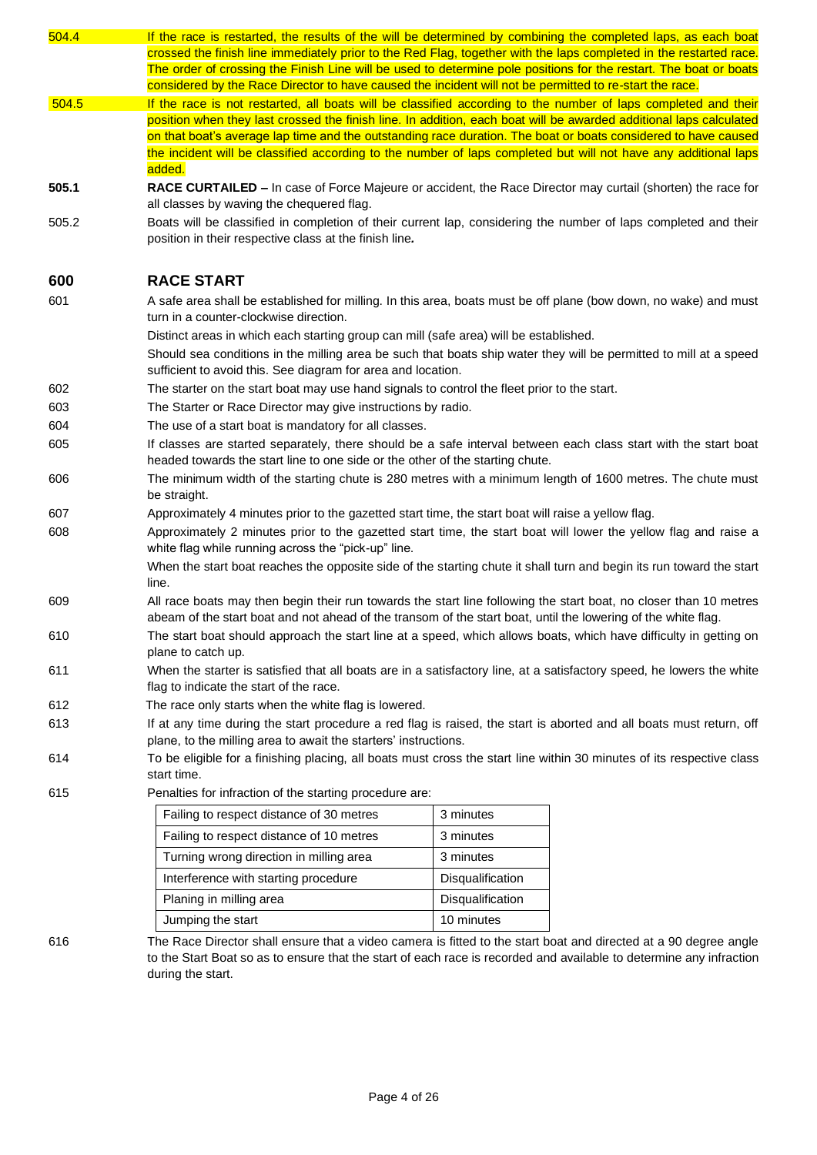| 504.4 | If the race is restarted, the results of the will be determined by combining the completed laps, as each boat                                                                                                                           |                  |  |  |
|-------|-----------------------------------------------------------------------------------------------------------------------------------------------------------------------------------------------------------------------------------------|------------------|--|--|
|       | crossed the finish line immediately prior to the Red Flag, together with the laps completed in the restarted race.<br>The order of crossing the Finish Line will be used to determine pole positions for the restart. The boat or boats |                  |  |  |
|       | considered by the Race Director to have caused the incident will not be permitted to re-start the race.                                                                                                                                 |                  |  |  |
| 504.5 | If the race is not restarted, all boats will be classified according to the number of laps completed and their                                                                                                                          |                  |  |  |
|       | position when they last crossed the finish line. In addition, each boat will be awarded additional laps calculated                                                                                                                      |                  |  |  |
|       | on that boat's average lap time and the outstanding race duration. The boat or boats considered to have caused                                                                                                                          |                  |  |  |
|       | the incident will be classified according to the number of laps completed but will not have any additional laps<br>added.                                                                                                               |                  |  |  |
| 505.1 | RACE CURTAILED - In case of Force Majeure or accident, the Race Director may curtail (shorten) the race for<br>all classes by waving the chequered flag.                                                                                |                  |  |  |
| 505.2 | Boats will be classified in completion of their current lap, considering the number of laps completed and their<br>position in their respective class at the finish line.                                                               |                  |  |  |
| 600   | <b>RACE START</b>                                                                                                                                                                                                                       |                  |  |  |
| 601   | A safe area shall be established for milling. In this area, boats must be off plane (bow down, no wake) and must<br>turn in a counter-clockwise direction.                                                                              |                  |  |  |
|       | Distinct areas in which each starting group can mill (safe area) will be established.                                                                                                                                                   |                  |  |  |
|       | Should sea conditions in the milling area be such that boats ship water they will be permitted to mill at a speed<br>sufficient to avoid this. See diagram for area and location.                                                       |                  |  |  |
| 602   | The starter on the start boat may use hand signals to control the fleet prior to the start.                                                                                                                                             |                  |  |  |
| 603   | The Starter or Race Director may give instructions by radio.                                                                                                                                                                            |                  |  |  |
| 604   | The use of a start boat is mandatory for all classes.                                                                                                                                                                                   |                  |  |  |
| 605   | If classes are started separately, there should be a safe interval between each class start with the start boat<br>headed towards the start line to one side or the other of the starting chute.                                        |                  |  |  |
| 606   | The minimum width of the starting chute is 280 metres with a minimum length of 1600 metres. The chute must<br>be straight.                                                                                                              |                  |  |  |
| 607   | Approximately 4 minutes prior to the gazetted start time, the start boat will raise a yellow flag.                                                                                                                                      |                  |  |  |
| 608   | Approximately 2 minutes prior to the gazetted start time, the start boat will lower the yellow flag and raise a<br>white flag while running across the "pick-up" line.                                                                  |                  |  |  |
|       | When the start boat reaches the opposite side of the starting chute it shall turn and begin its run toward the start<br>line.                                                                                                           |                  |  |  |
| 609   | All race boats may then begin their run towards the start line following the start boat, no closer than 10 metres<br>abeam of the start boat and not ahead of the transom of the start boat, until the lowering of the white flag.      |                  |  |  |
| 610   | The start boat should approach the start line at a speed, which allows boats, which have difficulty in getting on<br>plane to catch up.                                                                                                 |                  |  |  |
| 611   | When the starter is satisfied that all boats are in a satisfactory line, at a satisfactory speed, he lowers the white<br>flag to indicate the start of the race.                                                                        |                  |  |  |
| 612   | The race only starts when the white flag is lowered.                                                                                                                                                                                    |                  |  |  |
| 613   | If at any time during the start procedure a red flag is raised, the start is aborted and all boats must return, off                                                                                                                     |                  |  |  |
| 614   | plane, to the milling area to await the starters' instructions.<br>To be eligible for a finishing placing, all boats must cross the start line within 30 minutes of its respective class                                                |                  |  |  |
|       | start time.                                                                                                                                                                                                                             |                  |  |  |
| 615   | Penalties for infraction of the starting procedure are:                                                                                                                                                                                 |                  |  |  |
|       | Failing to respect distance of 30 metres                                                                                                                                                                                                | 3 minutes        |  |  |
|       | Failing to respect distance of 10 metres                                                                                                                                                                                                | 3 minutes        |  |  |
|       | Turning wrong direction in milling area                                                                                                                                                                                                 | 3 minutes        |  |  |
|       | Interference with starting procedure                                                                                                                                                                                                    | Disqualification |  |  |
|       | Planing in milling area                                                                                                                                                                                                                 | Disqualification |  |  |
|       | Jumping the start                                                                                                                                                                                                                       | 10 minutes       |  |  |

616 The Race Director shall ensure that a video camera is fitted to the start boat and directed at a 90 degree angle to the Start Boat so as to ensure that the start of each race is recorded and available to determine any infraction during the start.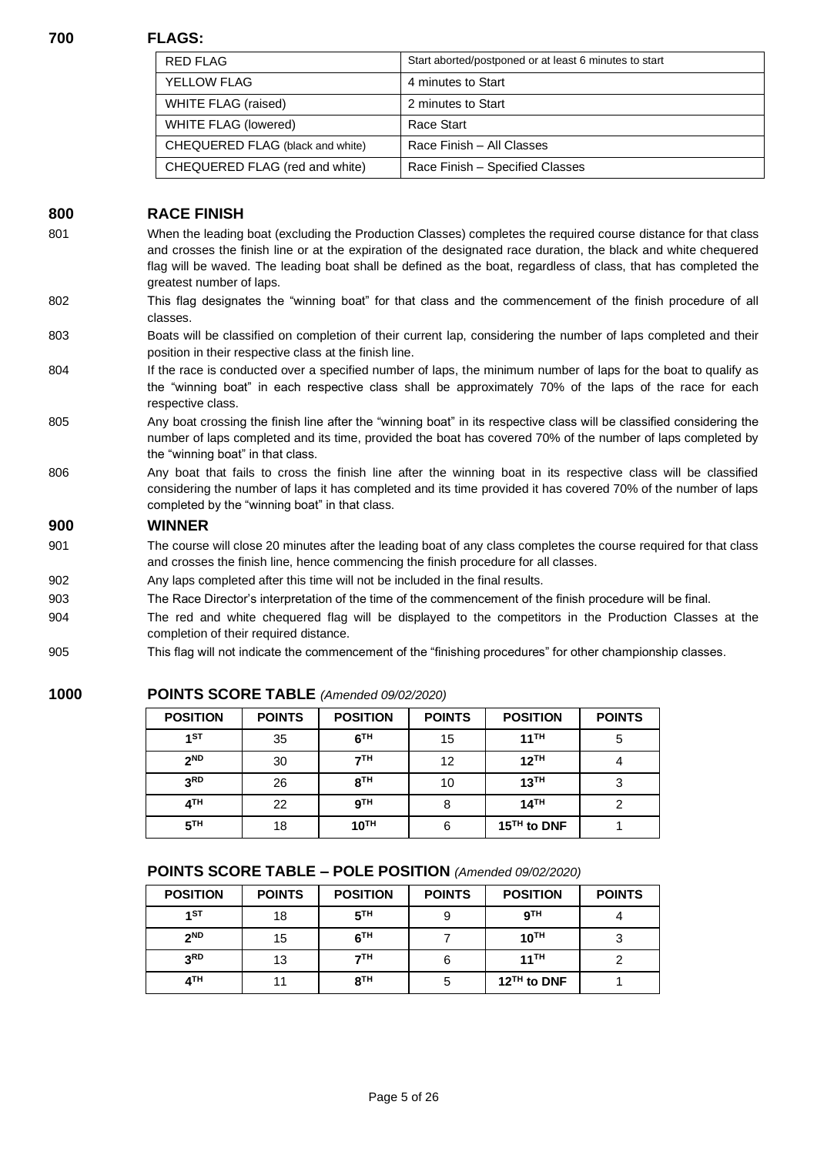#### **700 FLAGS:**

| <b>RED FLAG</b>                  | Start aborted/postponed or at least 6 minutes to start |
|----------------------------------|--------------------------------------------------------|
| <b>YELLOW FLAG</b>               | 4 minutes to Start                                     |
| WHITE FLAG (raised)              | 2 minutes to Start                                     |
| WHITE FLAG (lowered)             | Race Start                                             |
| CHEQUERED FLAG (black and white) | Race Finish - All Classes                              |
| CHEQUERED FLAG (red and white)   | Race Finish - Specified Classes                        |

# **800 RACE FINISH**

- 801 When the leading boat (excluding the Production Classes) completes the required course distance for that class and crosses the finish line or at the expiration of the designated race duration, the black and white chequered flag will be waved. The leading boat shall be defined as the boat, regardless of class, that has completed the greatest number of laps.
- 802 This flag designates the "winning boat" for that class and the commencement of the finish procedure of all classes.

#### 803 Boats will be classified on completion of their current lap, considering the number of laps completed and their position in their respective class at the finish line.

- 804 If the race is conducted over a specified number of laps, the minimum number of laps for the boat to qualify as the "winning boat" in each respective class shall be approximately 70% of the laps of the race for each respective class.
- 805 Any boat crossing the finish line after the "winning boat" in its respective class will be classified considering the number of laps completed and its time, provided the boat has covered 70% of the number of laps completed by the "winning boat" in that class.
- 806 Any boat that fails to cross the finish line after the winning boat in its respective class will be classified considering the number of laps it has completed and its time provided it has covered 70% of the number of laps completed by the "winning boat" in that class.

#### **900 WINNER**

- 901 The course will close 20 minutes after the leading boat of any class completes the course required for that class and crosses the finish line, hence commencing the finish procedure for all classes.
- 902 Any laps completed after this time will not be included in the final results.
- 903 The Race Director's interpretation of the time of the commencement of the finish procedure will be final.
- 904 The red and white chequered flag will be displayed to the competitors in the Production Classes at the completion of their required distance.
- 905 This flag will not indicate the commencement of the "finishing procedures" for other championship classes.

# **1000 POINTS SCORE TABLE** *(Amended 09/02/2020)*

| <b>POSITION</b> | <b>POINTS</b> | <b>POSITION</b>  | <b>POINTS</b> | <b>POSITION</b>         | <b>POINTS</b> |
|-----------------|---------------|------------------|---------------|-------------------------|---------------|
| 1 <sup>ST</sup> | 35            | 6 <sup>TH</sup>  | 15            | $11$ <sup>TH</sup>      | 5             |
| 2 <sub>ND</sub> | 30            | 7 <sup>TH</sup>  | 12            | 12 <sup>TH</sup>        |               |
| 3 <sup>RD</sup> | 26            | 8 <sup>TH</sup>  | 10            | 13 <sup>TH</sup>        |               |
| 4 <sup>TH</sup> | 22            | 9 <sup>TH</sup>  | 8             | 14 <sup>TH</sup>        |               |
| 5 <sup>TH</sup> | 18            | 10 <sup>TH</sup> | 6             | 15 <sup>TH</sup> to DNF |               |

# **POINTS SCORE TABLE – POLE POSITION** *(Amended 09/02/2020)*

| <b>POSITION</b> | <b>POINTS</b> | <b>POSITION</b> | <b>POINTS</b> | <b>POSITION</b>         | <b>POINTS</b> |
|-----------------|---------------|-----------------|---------------|-------------------------|---------------|
| 1 <sub>1</sub>  | 18            | 5 <sup>TH</sup> | 9             | 9 <sup>TH</sup>         |               |
| 2 <sup>ND</sup> | 15            | 6 <sup>TH</sup> |               | 10 <sup>TH</sup>        |               |
| 3 <sub>RD</sub> | 13            | 7 <sup>TH</sup> | 6             | 11 <sup>TH</sup>        |               |
| 4 <sup>TH</sup> | 11            | 8 <sup>TH</sup> | 5             | 12 <sup>TH</sup> to DNF |               |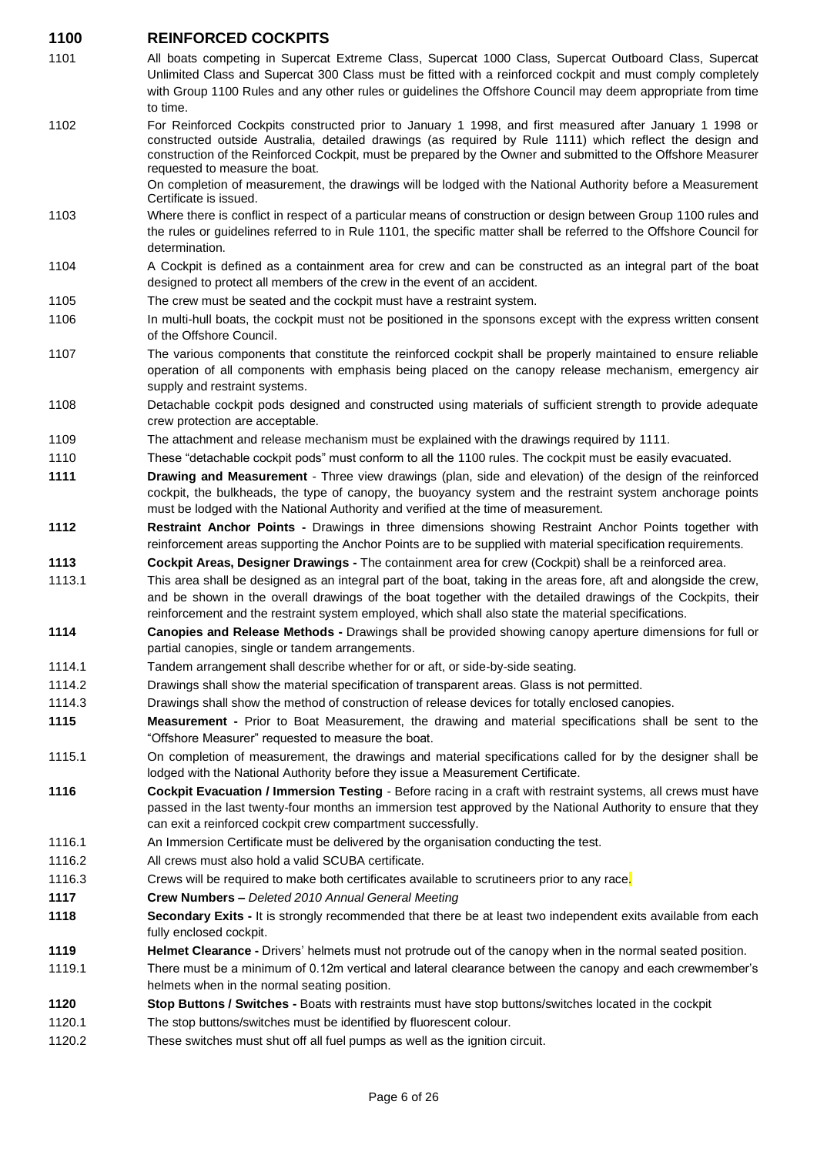- **1100 REINFORCED COCKPITS** 1101 All boats competing in Supercat Extreme Class, Supercat 1000 Class, Supercat Outboard Class, Supercat Unlimited Class and Supercat 300 Class must be fitted with a reinforced cockpit and must comply completely with Group 1100 Rules and any other rules or guidelines the Offshore Council may deem appropriate from time to time. 1102 For Reinforced Cockpits constructed prior to January 1 1998, and first measured after January 1 1998 or constructed outside Australia, detailed drawings (as required by Rule 1111) which reflect the design and construction of the Reinforced Cockpit, must be prepared by the Owner and submitted to the Offshore Measurer requested to measure the boat. On completion of measurement, the drawings will be lodged with the National Authority before a Measurement Certificate is issued. 1103 Where there is conflict in respect of a particular means of construction or design between Group 1100 rules and the rules or guidelines referred to in Rule 1101, the specific matter shall be referred to the Offshore Council for determination. 1104 A Cockpit is defined as a containment area for crew and can be constructed as an integral part of the boat designed to protect all members of the crew in the event of an accident. 1105 The crew must be seated and the cockpit must have a restraint system. 1106 In multi-hull boats, the cockpit must not be positioned in the sponsons except with the express written consent of the Offshore Council. 1107 The various components that constitute the reinforced cockpit shall be properly maintained to ensure reliable operation of all components with emphasis being placed on the canopy release mechanism, emergency air supply and restraint systems. 1108 Detachable cockpit pods designed and constructed using materials of sufficient strength to provide adequate crew protection are acceptable. 1109 The attachment and release mechanism must be explained with the drawings required by 1111. 1110 These "detachable cockpit pods" must conform to all the 1100 rules. The cockpit must be easily evacuated. **1111 Drawing and Measurement** - Three view drawings (plan, side and elevation) of the design of the reinforced cockpit, the bulkheads, the type of canopy, the buoyancy system and the restraint system anchorage points must be lodged with the National Authority and verified at the time of measurement. **1112 Restraint Anchor Points -** Drawings in three dimensions showing Restraint Anchor Points together with reinforcement areas supporting the Anchor Points are to be supplied with material specification requirements. **1113 Cockpit Areas, Designer Drawings -** The containment area for crew (Cockpit) shall be a reinforced area. 1113.1 This area shall be designed as an integral part of the boat, taking in the areas fore, aft and alongside the crew, and be shown in the overall drawings of the boat together with the detailed drawings of the Cockpits, their reinforcement and the restraint system employed, which shall also state the material specifications. **1114 Canopies and Release Methods -** Drawings shall be provided showing canopy aperture dimensions for full or partial canopies, single or tandem arrangements. 1114.1 Tandem arrangement shall describe whether for or aft, or side-by-side seating. 1114.2 Drawings shall show the material specification of transparent areas. Glass is not permitted. 1114.3 Drawings shall show the method of construction of release devices for totally enclosed canopies. **1115 Measurement -** Prior to Boat Measurement, the drawing and material specifications shall be sent to the "Offshore Measurer" requested to measure the boat. 1115.1 On completion of measurement, the drawings and material specifications called for by the designer shall be lodged with the National Authority before they issue a Measurement Certificate. **1116 Cockpit Evacuation / Immersion Testing** - Before racing in a craft with restraint systems, all crews must have passed in the last twenty-four months an immersion test approved by the National Authority to ensure that they can exit a reinforced cockpit crew compartment successfully. 1116.1 An Immersion Certificate must be delivered by the organisation conducting the test.
- 1116.2 All crews must also hold a valid SCUBA certificate.
- 1116.3 Crews will be required to make both certificates available to scrutineers prior to any race*.*
- **1117 Crew Numbers –** *Deleted 2010 Annual General Meeting*
- **1118 Secondary Exits** It is strongly recommended that there be at least two independent exits available from each fully enclosed cockpit.
- **1119 Helmet Clearance -** Drivers' helmets must not protrude out of the canopy when in the normal seated position.
- 1119.1 There must be a minimum of 0.12m vertical and lateral clearance between the canopy and each crewmember's helmets when in the normal seating position.
- **1120 Stop Buttons / Switches -** Boats with restraints must have stop buttons/switches located in the cockpit
- 1120.1 The stop buttons/switches must be identified by fluorescent colour.
- 1120.2 These switches must shut off all fuel pumps as well as the ignition circuit.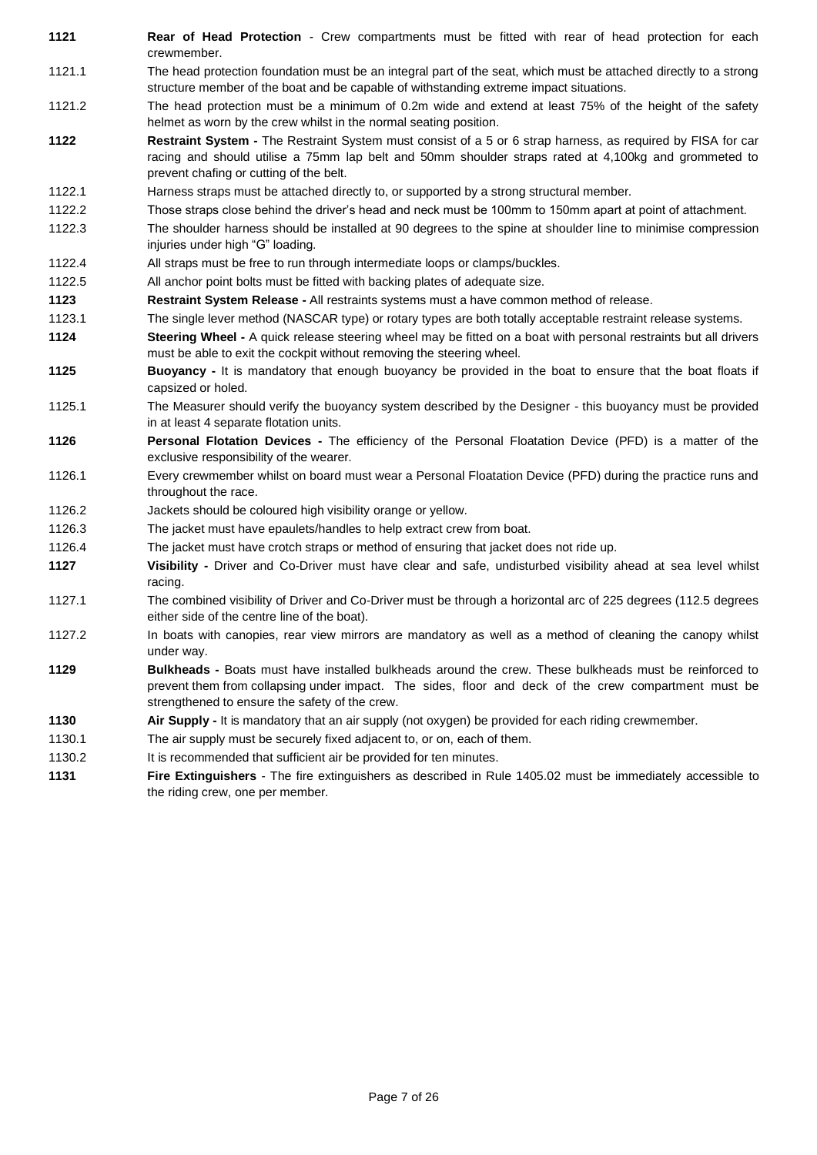**1121 Rear of Head Protection** - Crew compartments must be fitted with rear of head protection for each crewmember.

- 1121.1 The head protection foundation must be an integral part of the seat, which must be attached directly to a strong structure member of the boat and be capable of withstanding extreme impact situations.
- 1121.2 The head protection must be a minimum of 0.2m wide and extend at least 75% of the height of the safety helmet as worn by the crew whilst in the normal seating position.
- **1122 Restraint System -** The Restraint System must consist of a 5 or 6 strap harness, as required by FISA for car racing and should utilise a 75mm lap belt and 50mm shoulder straps rated at 4,100kg and grommeted to prevent chafing or cutting of the belt.
- 1122.1 Harness straps must be attached directly to, or supported by a strong structural member.
- 1122.2 Those straps close behind the driver's head and neck must be 100mm to 150mm apart at point of attachment.
- 1122.3 The shoulder harness should be installed at 90 degrees to the spine at shoulder line to minimise compression injuries under high "G" loading.
- 1122.4 All straps must be free to run through intermediate loops or clamps/buckles.
- 1122.5 All anchor point bolts must be fitted with backing plates of adequate size.
- **1123 Restraint System Release -** All restraints systems must a have common method of release.
- 1123.1 The single lever method (NASCAR type) or rotary types are both totally acceptable restraint release systems.
- **1124 Steering Wheel -** A quick release steering wheel may be fitted on a boat with personal restraints but all drivers must be able to exit the cockpit without removing the steering wheel.
- **1125 Buoyancy -** It is mandatory that enough buoyancy be provided in the boat to ensure that the boat floats if capsized or holed.
- 1125.1 The Measurer should verify the buoyancy system described by the Designer this buoyancy must be provided in at least 4 separate flotation units.
- **1126 Personal Flotation Devices -** The efficiency of the Personal Floatation Device (PFD) is a matter of the exclusive responsibility of the wearer.
- 1126.1 Every crewmember whilst on board must wear a Personal Floatation Device (PFD) during the practice runs and throughout the race.
- 1126.2 Jackets should be coloured high visibility orange or yellow.
- 1126.3 The jacket must have epaulets/handles to help extract crew from boat.
- 1126.4 The jacket must have crotch straps or method of ensuring that jacket does not ride up.
- **1127 Visibility -** Driver and Co-Driver must have clear and safe, undisturbed visibility ahead at sea level whilst racing.
- 1127.1 The combined visibility of Driver and Co-Driver must be through a horizontal arc of 225 degrees (112.5 degrees either side of the centre line of the boat).
- 1127.2 In boats with canopies, rear view mirrors are mandatory as well as a method of cleaning the canopy whilst under way.
- **1129 Bulkheads -** Boats must have installed bulkheads around the crew. These bulkheads must be reinforced to prevent them from collapsing under impact. The sides, floor and deck of the crew compartment must be strengthened to ensure the safety of the crew.
- **1130 Air Supply -** It is mandatory that an air supply (not oxygen) be provided for each riding crewmember.
- 1130.1 The air supply must be securely fixed adjacent to, or on, each of them.
- 1130.2 It is recommended that sufficient air be provided for ten minutes.
- **1131 Fire Extinguishers** The fire extinguishers as described in Rule 1405.02 must be immediately accessible to the riding crew, one per member.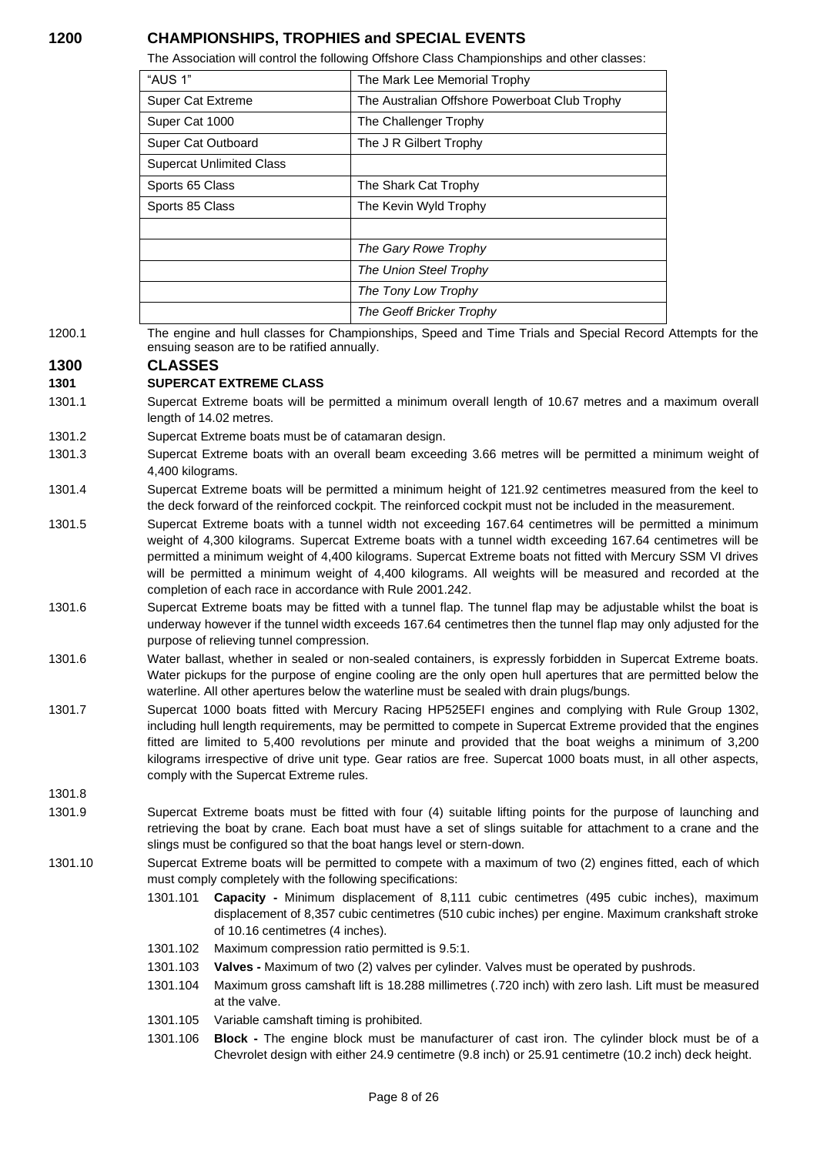# **1200 CHAMPIONSHIPS, TROPHIES and SPECIAL EVENTS**

The Association will control the following Offshore Class Championships and other classes:

| "AUS 1"                         | The Mark Lee Memorial Trophy                  |
|---------------------------------|-----------------------------------------------|
| <b>Super Cat Extreme</b>        | The Australian Offshore Powerboat Club Trophy |
| Super Cat 1000                  | The Challenger Trophy                         |
| Super Cat Outboard              | The J R Gilbert Trophy                        |
| <b>Supercat Unlimited Class</b> |                                               |
| Sports 65 Class                 | The Shark Cat Trophy                          |
| Sports 85 Class                 | The Kevin Wyld Trophy                         |
|                                 |                                               |
|                                 | The Gary Rowe Trophy                          |
|                                 | The Union Steel Trophy                        |
|                                 | The Tony Low Trophy                           |
|                                 | The Geoff Bricker Trophy                      |

1200.1 The engine and hull classes for Championships, Speed and Time Trials and Special Record Attempts for the ensuing season are to be ratified annually.

## **1300 CLASSES**

#### **1301 SUPERCAT EXTREME CLASS**

- 1301.1 Supercat Extreme boats will be permitted a minimum overall length of 10.67 metres and a maximum overall length of 14.02 metres.
- 1301.2 Supercat Extreme boats must be of catamaran design.
- 1301.3 Supercat Extreme boats with an overall beam exceeding 3.66 metres will be permitted a minimum weight of 4,400 kilograms.
- 1301.4 Supercat Extreme boats will be permitted a minimum height of 121.92 centimetres measured from the keel to the deck forward of the reinforced cockpit. The reinforced cockpit must not be included in the measurement.
- 1301.5 Supercat Extreme boats with a tunnel width not exceeding 167.64 centimetres will be permitted a minimum weight of 4,300 kilograms. Supercat Extreme boats with a tunnel width exceeding 167.64 centimetres will be permitted a minimum weight of 4,400 kilograms. Supercat Extreme boats not fitted with Mercury SSM VI drives will be permitted a minimum weight of 4,400 kilograms. All weights will be measured and recorded at the completion of each race in accordance with Rule 2001.242.
- 1301.6 Supercat Extreme boats may be fitted with a tunnel flap. The tunnel flap may be adjustable whilst the boat is underway however if the tunnel width exceeds 167.64 centimetres then the tunnel flap may only adjusted for the purpose of relieving tunnel compression.
- 1301.6 Water ballast, whether in sealed or non-sealed containers, is expressly forbidden in Supercat Extreme boats. Water pickups for the purpose of engine cooling are the only open hull apertures that are permitted below the waterline. All other apertures below the waterline must be sealed with drain plugs/bungs.
- 1301.7 Supercat 1000 boats fitted with Mercury Racing HP525EFI engines and complying with Rule Group 1302, including hull length requirements, may be permitted to compete in Supercat Extreme provided that the engines fitted are limited to 5,400 revolutions per minute and provided that the boat weighs a minimum of 3,200 kilograms irrespective of drive unit type. Gear ratios are free. Supercat 1000 boats must, in all other aspects, comply with the Supercat Extreme rules.

1301.8

- 1301.9 Supercat Extreme boats must be fitted with four (4) suitable lifting points for the purpose of launching and retrieving the boat by crane. Each boat must have a set of slings suitable for attachment to a crane and the slings must be configured so that the boat hangs level or stern-down.
- 1301.10 Supercat Extreme boats will be permitted to compete with a maximum of two (2) engines fitted, each of which must comply completely with the following specifications:
	- 1301.101 **Capacity -** Minimum displacement of 8,111 cubic centimetres (495 cubic inches), maximum displacement of 8,357 cubic centimetres (510 cubic inches) per engine. Maximum crankshaft stroke of 10.16 centimetres (4 inches).
	- 1301.102 Maximum compression ratio permitted is 9.5:1.
	- 1301.103 **Valves -** Maximum of two (2) valves per cylinder. Valves must be operated by pushrods.
	- 1301.104 Maximum gross camshaft lift is 18.288 millimetres (.720 inch) with zero lash. Lift must be measured at the valve.
	- 1301.105 Variable camshaft timing is prohibited.
	- 1301.106 **Block -** The engine block must be manufacturer of cast iron. The cylinder block must be of a Chevrolet design with either 24.9 centimetre (9.8 inch) or 25.91 centimetre (10.2 inch) deck height.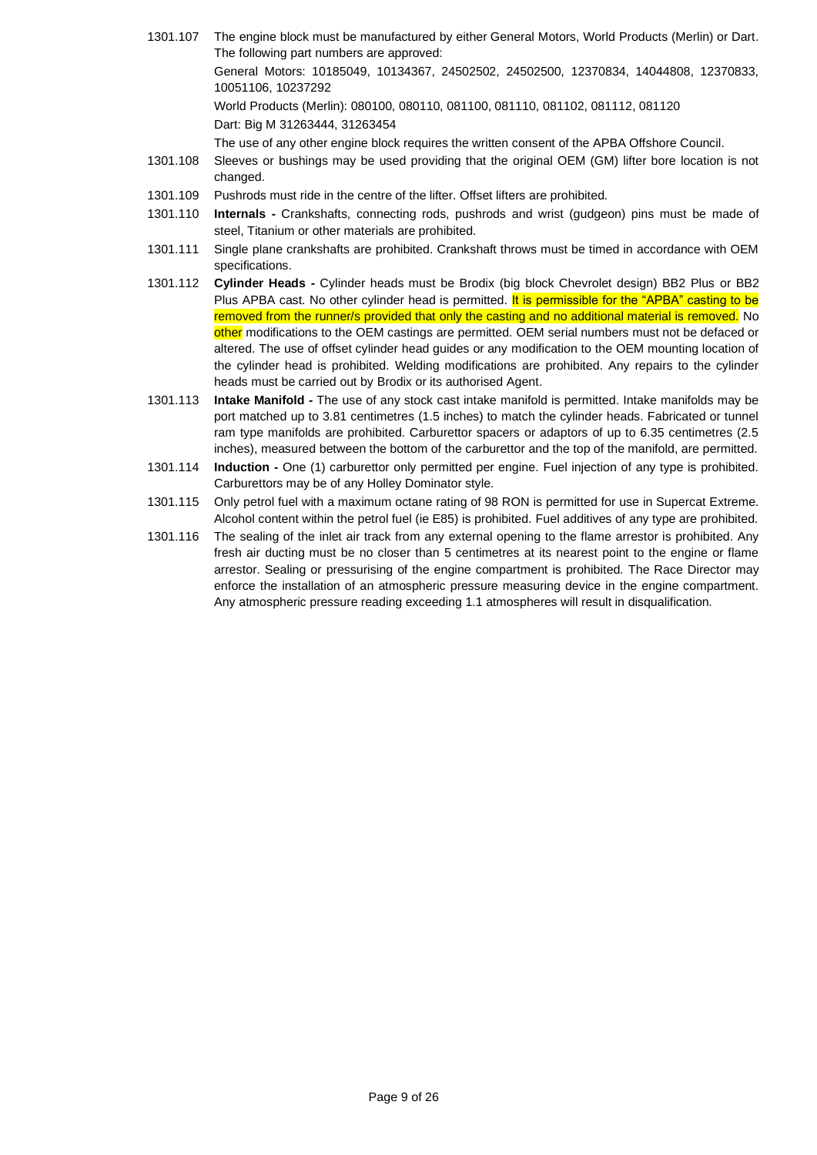- 1301.107 The engine block must be manufactured by either General Motors, World Products (Merlin) or Dart. The following part numbers are approved: General Motors: 10185049, 10134367, 24502502, 24502500, 12370834, 14044808, 12370833, 10051106, 10237292 World Products (Merlin): 080100, 080110, 081100, 081110, 081102, 081112, 081120 Dart: Big M 31263444, 31263454 The use of any other engine block requires the written consent of the APBA Offshore Council.
- 1301.108 Sleeves or bushings may be used providing that the original OEM (GM) lifter bore location is not changed.
- 1301.109 Pushrods must ride in the centre of the lifter. Offset lifters are prohibited.
- 1301.110 **Internals -** Crankshafts, connecting rods, pushrods and wrist (gudgeon) pins must be made of steel, Titanium or other materials are prohibited.
- 1301.111 Single plane crankshafts are prohibited. Crankshaft throws must be timed in accordance with OEM specifications.
- 1301.112 **Cylinder Heads -** Cylinder heads must be Brodix (big block Chevrolet design) BB2 Plus or BB2 Plus APBA cast. No other cylinder head is permitted. It is permissible for the "APBA" casting to be removed from the runner/s provided that only the casting and no additional material is removed. No other modifications to the OEM castings are permitted. OEM serial numbers must not be defaced or altered. The use of offset cylinder head guides or any modification to the OEM mounting location of the cylinder head is prohibited. Welding modifications are prohibited. Any repairs to the cylinder heads must be carried out by Brodix or its authorised Agent.
- 1301.113 **Intake Manifold -** The use of any stock cast intake manifold is permitted. Intake manifolds may be port matched up to 3.81 centimetres (1.5 inches) to match the cylinder heads. Fabricated or tunnel ram type manifolds are prohibited. Carburettor spacers or adaptors of up to 6.35 centimetres (2.5 inches), measured between the bottom of the carburettor and the top of the manifold, are permitted.
- 1301.114 **Induction -** One (1) carburettor only permitted per engine. Fuel injection of any type is prohibited. Carburettors may be of any Holley Dominator style.
- 1301.115 Only petrol fuel with a maximum octane rating of 98 RON is permitted for use in Supercat Extreme. Alcohol content within the petrol fuel (ie E85) is prohibited. Fuel additives of any type are prohibited.
- 1301.116 The sealing of the inlet air track from any external opening to the flame arrestor is prohibited. Any fresh air ducting must be no closer than 5 centimetres at its nearest point to the engine or flame arrestor. Sealing or pressurising of the engine compartment is prohibited. The Race Director may enforce the installation of an atmospheric pressure measuring device in the engine compartment. Any atmospheric pressure reading exceeding 1.1 atmospheres will result in disqualification.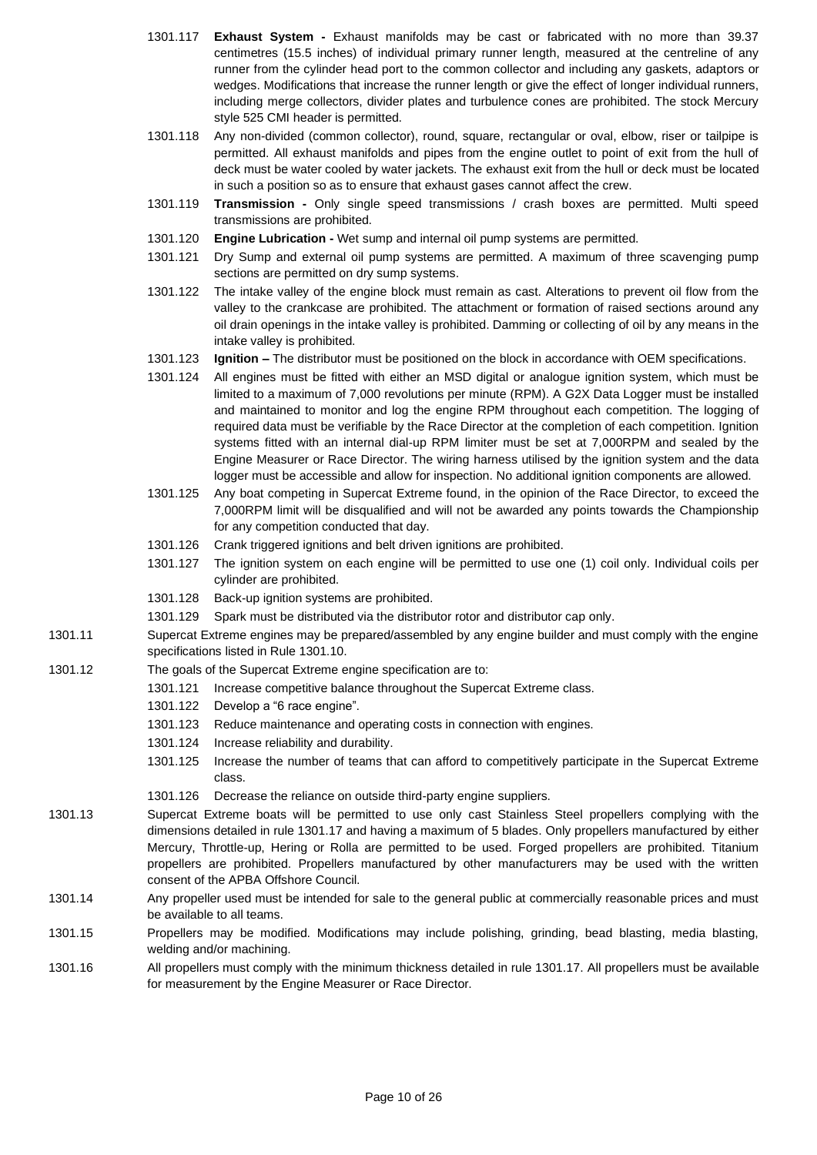- 1301.117 **Exhaust System -** Exhaust manifolds may be cast or fabricated with no more than 39.37 centimetres (15.5 inches) of individual primary runner length, measured at the centreline of any runner from the cylinder head port to the common collector and including any gaskets, adaptors or wedges. Modifications that increase the runner length or give the effect of longer individual runners, including merge collectors, divider plates and turbulence cones are prohibited. The stock Mercury style 525 CMI header is permitted.
- 1301.118 Any non-divided (common collector), round, square, rectangular or oval, elbow, riser or tailpipe is permitted. All exhaust manifolds and pipes from the engine outlet to point of exit from the hull of deck must be water cooled by water jackets. The exhaust exit from the hull or deck must be located in such a position so as to ensure that exhaust gases cannot affect the crew.
- 1301.119 **Transmission -** Only single speed transmissions / crash boxes are permitted. Multi speed transmissions are prohibited.
- 1301.120 **Engine Lubrication -** Wet sump and internal oil pump systems are permitted.
- 1301.121 Dry Sump and external oil pump systems are permitted. A maximum of three scavenging pump sections are permitted on dry sump systems.
- 1301.122 The intake valley of the engine block must remain as cast. Alterations to prevent oil flow from the valley to the crankcase are prohibited. The attachment or formation of raised sections around any oil drain openings in the intake valley is prohibited. Damming or collecting of oil by any means in the intake valley is prohibited.
- 1301.123 **Ignition –** The distributor must be positioned on the block in accordance with OEM specifications.
- 1301.124 All engines must be fitted with either an MSD digital or analogue ignition system, which must be limited to a maximum of 7,000 revolutions per minute (RPM). A G2X Data Logger must be installed and maintained to monitor and log the engine RPM throughout each competition. The logging of required data must be verifiable by the Race Director at the completion of each competition. Ignition systems fitted with an internal dial-up RPM limiter must be set at 7,000RPM and sealed by the Engine Measurer or Race Director. The wiring harness utilised by the ignition system and the data logger must be accessible and allow for inspection. No additional ignition components are allowed.
- 1301.125 Any boat competing in Supercat Extreme found, in the opinion of the Race Director, to exceed the 7,000RPM limit will be disqualified and will not be awarded any points towards the Championship for any competition conducted that day.
- 1301.126 Crank triggered ignitions and belt driven ignitions are prohibited.
- 1301.127 The ignition system on each engine will be permitted to use one (1) coil only. Individual coils per cylinder are prohibited.
- 1301.128 Back-up ignition systems are prohibited.
- 1301.129 Spark must be distributed via the distributor rotor and distributor cap only.
- 1301.11 Supercat Extreme engines may be prepared/assembled by any engine builder and must comply with the engine specifications listed in Rule 1301.10.
- 1301.12 The goals of the Supercat Extreme engine specification are to:
	- 1301.121 Increase competitive balance throughout the Supercat Extreme class.
		- 1301.122 Develop a "6 race engine".
		- 1301.123 Reduce maintenance and operating costs in connection with engines.
		- 1301.124 Increase reliability and durability.
		- 1301.125 Increase the number of teams that can afford to competitively participate in the Supercat Extreme class.
		- 1301.126 Decrease the reliance on outside third-party engine suppliers.
- 1301.13 Supercat Extreme boats will be permitted to use only cast Stainless Steel propellers complying with the dimensions detailed in rule 1301.17 and having a maximum of 5 blades. Only propellers manufactured by either Mercury, Throttle-up, Hering or Rolla are permitted to be used. Forged propellers are prohibited. Titanium propellers are prohibited. Propellers manufactured by other manufacturers may be used with the written consent of the APBA Offshore Council.
- 1301.14 Any propeller used must be intended for sale to the general public at commercially reasonable prices and must be available to all teams.
- 1301.15 Propellers may be modified. Modifications may include polishing, grinding, bead blasting, media blasting, welding and/or machining.
- 1301.16 All propellers must comply with the minimum thickness detailed in rule 1301.17. All propellers must be available for measurement by the Engine Measurer or Race Director.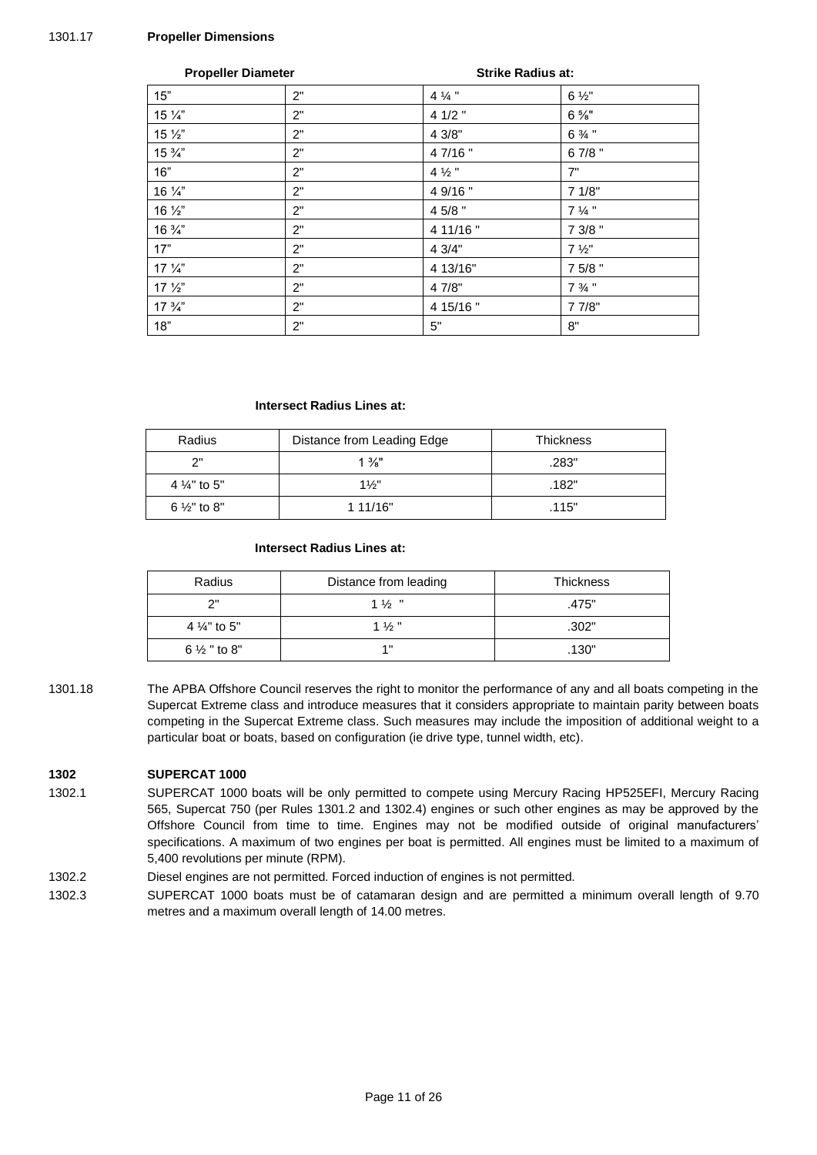#### 1301.17 **Propeller Dimensions**

| <b>Propeller Diameter</b> |    |                   | <b>Strike Radius at:</b> |  |
|---------------------------|----|-------------------|--------------------------|--|
| 15"                       | 2" | $4\frac{1}{4}$ "  | $6\frac{1}{2}$ "         |  |
| 15 1/4"                   | 2" | 4 1/2 "           | $6\frac{5}{8}$ "         |  |
| $15\frac{1}{2}$           | 2" | 4 3/8"            | $6\frac{3}{4}$ "         |  |
| $15\frac{3}{4}$           | 2" | 4 7/16"           | 67/8"                    |  |
| 16"                       | 2" | 4 $\frac{1}{2}$ " | 7"                       |  |
| 16 1/4"                   | 2" | 4 9/16"           | 71/8"                    |  |
| 16 1/2"                   | 2" | 4 5/8 "           | $7\frac{1}{4}$ "         |  |
| $16\frac{3}{4}$           | 2" | 4 11/16"          | 7 3/8 "                  |  |
| 17"                       | 2" | 4 3/4"            | $7\frac{1}{2}$ "         |  |
| $17\frac{1}{4}$           | 2" | 4 13/16"          | 7 5/8 "                  |  |
| $17\frac{1}{2}$           | 2" | 4 7/8"            | $7\frac{3}{4}$ "         |  |
| $17 \frac{3}{4}$          | 2" | 4 15/16"          | 7 7/8"                   |  |
| 18"                       | 2" | 5"                | 8"                       |  |

#### **Intersect Radius Lines at:**

| Radius                  | Distance from Leading Edge | <b>Thickness</b> |
|-------------------------|----------------------------|------------------|
| ייר                     | $1\frac{3}{8}$ "           | .283"            |
| 4 $\frac{1}{4}$ " to 5" | $1\frac{1}{5}$             | .182"            |
| 6 $\frac{1}{2}$ " to 8" | 1 11/16"                   | .115"            |

#### **Intersect Radius Lines at:**

| Radius                  | Distance from leading | <b>Thickness</b> |
|-------------------------|-----------------------|------------------|
| ייר                     | $1\frac{1}{2}$ "      | .475"            |
| 4 $\frac{1}{4}$ " to 5" | $1\frac{1}{2}$        | .302"            |
| $6\frac{1}{2}$ " to 8"  | 4 8                   | .130"            |

1301.18 The APBA Offshore Council reserves the right to monitor the performance of any and all boats competing in the Supercat Extreme class and introduce measures that it considers appropriate to maintain parity between boats competing in the Supercat Extreme class. Such measures may include the imposition of additional weight to a particular boat or boats, based on configuration (ie drive type, tunnel width, etc).

#### **1302 SUPERCAT 1000**

- 1302.1 SUPERCAT 1000 boats will be only permitted to compete using Mercury Racing HP525EFI, Mercury Racing 565, Supercat 750 (per Rules 1301.2 and 1302.4) engines or such other engines as may be approved by the Offshore Council from time to time. Engines may not be modified outside of original manufacturers' specifications. A maximum of two engines per boat is permitted. All engines must be limited to a maximum of 5,400 revolutions per minute (RPM).
- 1302.2 Diesel engines are not permitted. Forced induction of engines is not permitted.
- 1302.3 SUPERCAT 1000 boats must be of catamaran design and are permitted a minimum overall length of 9.70 metres and a maximum overall length of 14.00 metres.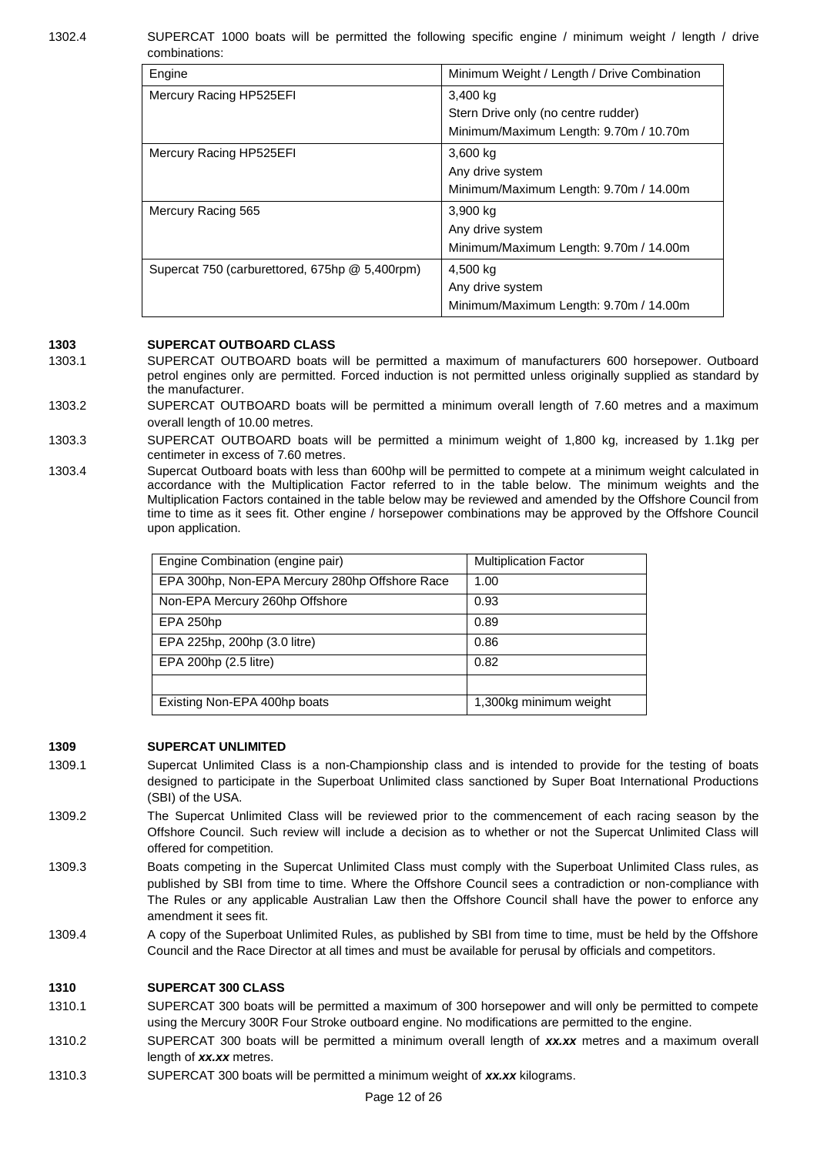1302.4 SUPERCAT 1000 boats will be permitted the following specific engine / minimum weight / length / drive combinations:

| Minimum Weight / Length / Drive Combination |
|---------------------------------------------|
| 3,400 kg                                    |
| Stern Drive only (no centre rudder)         |
| Minimum/Maximum Length: 9.70m / 10.70m      |
| 3,600 kg                                    |
| Any drive system                            |
| Minimum/Maximum Length: 9.70m / 14.00m      |
| 3,900 kg                                    |
| Any drive system                            |
| Minimum/Maximum Length: 9.70m / 14.00m      |
| 4,500 kg                                    |
| Any drive system                            |
| Minimum/Maximum Length: 9.70m / 14.00m      |
|                                             |

### **1303 SUPERCAT OUTBOARD CLASS**

- 1303.1 SUPERCAT OUTBOARD boats will be permitted a maximum of manufacturers 600 horsepower. Outboard petrol engines only are permitted. Forced induction is not permitted unless originally supplied as standard by the manufacturer.
- 1303.2 SUPERCAT OUTBOARD boats will be permitted a minimum overall length of 7.60 metres and a maximum overall length of 10.00 metres.
- 1303.3 SUPERCAT OUTBOARD boats will be permitted a minimum weight of 1,800 kg, increased by 1.1kg per centimeter in excess of 7.60 metres.
- 1303.4 Supercat Outboard boats with less than 600hp will be permitted to compete at a minimum weight calculated in accordance with the Multiplication Factor referred to in the table below. The minimum weights and the Multiplication Factors contained in the table below may be reviewed and amended by the Offshore Council from time to time as it sees fit. Other engine / horsepower combinations may be approved by the Offshore Council upon application.

| Engine Combination (engine pair)               | <b>Multiplication Factor</b> |
|------------------------------------------------|------------------------------|
| EPA 300hp, Non-EPA Mercury 280hp Offshore Race | 1.00                         |
| Non-EPA Mercury 260hp Offshore                 | 0.93                         |
| EPA 250hp                                      | 0.89                         |
| EPA 225hp, 200hp (3.0 litre)                   | 0.86                         |
| EPA 200hp (2.5 litre)                          | 0.82                         |
|                                                |                              |
| Existing Non-EPA 400hp boats                   | 1,300kg minimum weight       |

#### **1309 SUPERCAT UNLIMITED**

- 1309.1 Supercat Unlimited Class is a non-Championship class and is intended to provide for the testing of boats designed to participate in the Superboat Unlimited class sanctioned by Super Boat International Productions (SBI) of the USA.
- 1309.2 The Supercat Unlimited Class will be reviewed prior to the commencement of each racing season by the Offshore Council. Such review will include a decision as to whether or not the Supercat Unlimited Class will offered for competition.
- 1309.3 Boats competing in the Supercat Unlimited Class must comply with the Superboat Unlimited Class rules, as published by SBI from time to time. Where the Offshore Council sees a contradiction or non-compliance with The Rules or any applicable Australian Law then the Offshore Council shall have the power to enforce any amendment it sees fit.
- 1309.4 A copy of the Superboat Unlimited Rules, as published by SBI from time to time, must be held by the Offshore Council and the Race Director at all times and must be available for perusal by officials and competitors.

#### **1310 SUPERCAT 300 CLASS**

- 1310.1 SUPERCAT 300 boats will be permitted a maximum of 300 horsepower and will only be permitted to compete using the Mercury 300R Four Stroke outboard engine. No modifications are permitted to the engine.
- 1310.2 SUPERCAT 300 boats will be permitted a minimum overall length of *xx.xx* metres and a maximum overall length of *xx.xx* metres.
- 1310.3 SUPERCAT 300 boats will be permitted a minimum weight of *xx.xx* kilograms.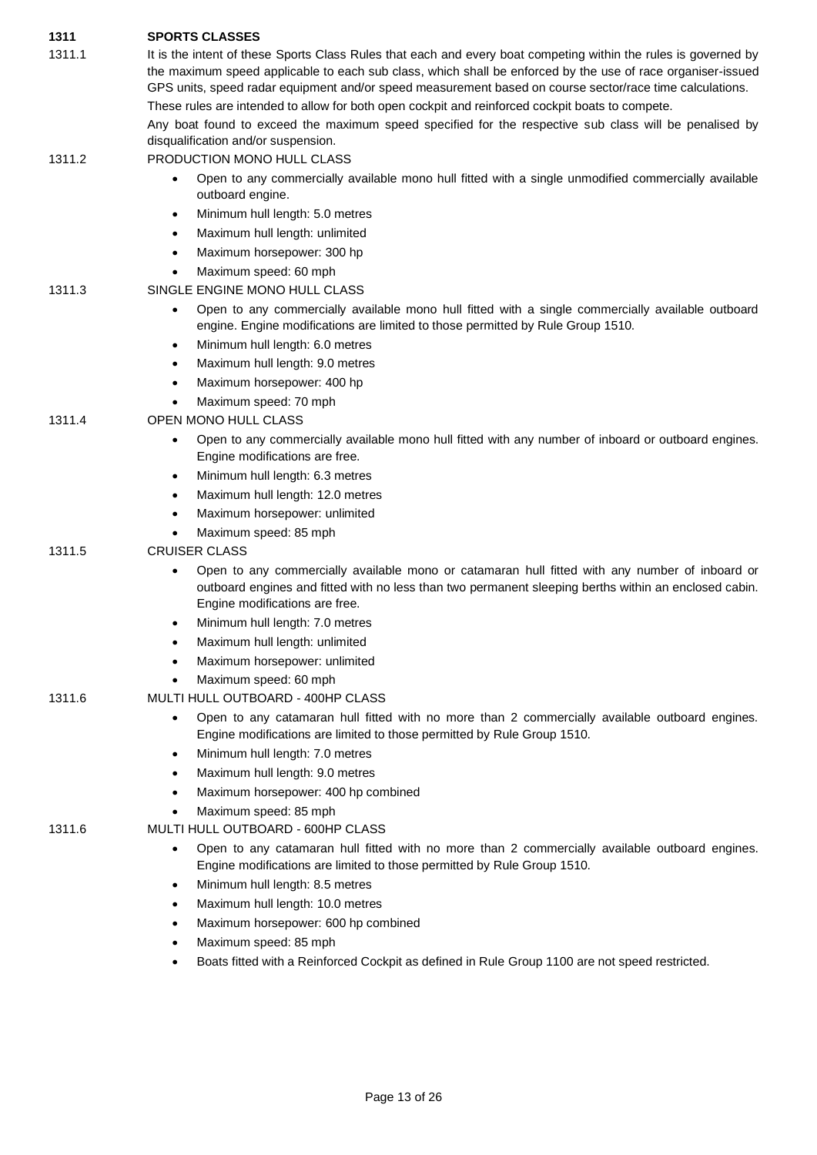| 1311   | <b>SPORTS CLASSES</b>                                                                                                                                                                                                                                                                                                                                                                                                                          |
|--------|------------------------------------------------------------------------------------------------------------------------------------------------------------------------------------------------------------------------------------------------------------------------------------------------------------------------------------------------------------------------------------------------------------------------------------------------|
| 1311.1 | It is the intent of these Sports Class Rules that each and every boat competing within the rules is governed by<br>the maximum speed applicable to each sub class, which shall be enforced by the use of race organiser-issued<br>GPS units, speed radar equipment and/or speed measurement based on course sector/race time calculations.<br>These rules are intended to allow for both open cockpit and reinforced cockpit boats to compete. |
|        | Any boat found to exceed the maximum speed specified for the respective sub class will be penalised by<br>disqualification and/or suspension.                                                                                                                                                                                                                                                                                                  |
| 1311.2 | PRODUCTION MONO HULL CLASS                                                                                                                                                                                                                                                                                                                                                                                                                     |
|        | Open to any commercially available mono hull fitted with a single unmodified commercially available<br>$\bullet$<br>outboard engine.                                                                                                                                                                                                                                                                                                           |
|        | Minimum hull length: 5.0 metres<br>$\bullet$                                                                                                                                                                                                                                                                                                                                                                                                   |
|        | Maximum hull length: unlimited<br>$\bullet$                                                                                                                                                                                                                                                                                                                                                                                                    |
|        | Maximum horsepower: 300 hp<br>$\bullet$                                                                                                                                                                                                                                                                                                                                                                                                        |
|        | Maximum speed: 60 mph<br>$\bullet$                                                                                                                                                                                                                                                                                                                                                                                                             |
| 1311.3 | SINGLE ENGINE MONO HULL CLASS                                                                                                                                                                                                                                                                                                                                                                                                                  |
|        | Open to any commercially available mono hull fitted with a single commercially available outboard<br>$\bullet$<br>engine. Engine modifications are limited to those permitted by Rule Group 1510.                                                                                                                                                                                                                                              |
|        | Minimum hull length: 6.0 metres<br>$\bullet$                                                                                                                                                                                                                                                                                                                                                                                                   |
|        | Maximum hull length: 9.0 metres<br>$\bullet$                                                                                                                                                                                                                                                                                                                                                                                                   |
|        | Maximum horsepower: 400 hp<br>$\bullet$                                                                                                                                                                                                                                                                                                                                                                                                        |
|        | Maximum speed: 70 mph<br>$\bullet$                                                                                                                                                                                                                                                                                                                                                                                                             |
| 1311.4 | OPEN MONO HULL CLASS                                                                                                                                                                                                                                                                                                                                                                                                                           |
|        | Open to any commercially available mono hull fitted with any number of inboard or outboard engines.<br>$\bullet$<br>Engine modifications are free.                                                                                                                                                                                                                                                                                             |
|        | Minimum hull length: 6.3 metres<br>$\bullet$                                                                                                                                                                                                                                                                                                                                                                                                   |
|        | Maximum hull length: 12.0 metres<br>$\bullet$                                                                                                                                                                                                                                                                                                                                                                                                  |
|        | Maximum horsepower: unlimited<br>$\bullet$                                                                                                                                                                                                                                                                                                                                                                                                     |
|        | Maximum speed: 85 mph<br>$\bullet$                                                                                                                                                                                                                                                                                                                                                                                                             |
| 1311.5 | <b>CRUISER CLASS</b>                                                                                                                                                                                                                                                                                                                                                                                                                           |
|        | Open to any commercially available mono or catamaran hull fitted with any number of inboard or<br>$\bullet$<br>outboard engines and fitted with no less than two permanent sleeping berths within an enclosed cabin.<br>Engine modifications are free.                                                                                                                                                                                         |
|        | Minimum hull length: 7.0 metres<br>٠                                                                                                                                                                                                                                                                                                                                                                                                           |
|        | Maximum hull length: unlimited                                                                                                                                                                                                                                                                                                                                                                                                                 |
|        | Maximum horsepower: unlimited<br>$\bullet$                                                                                                                                                                                                                                                                                                                                                                                                     |
|        | Maximum speed: 60 mph<br>$\bullet$                                                                                                                                                                                                                                                                                                                                                                                                             |
| 1311.6 | MULTI HULL OUTBOARD - 400HP CLASS                                                                                                                                                                                                                                                                                                                                                                                                              |
|        | Open to any catamaran hull fitted with no more than 2 commercially available outboard engines.<br>$\bullet$<br>Engine modifications are limited to those permitted by Rule Group 1510.                                                                                                                                                                                                                                                         |
|        | Minimum hull length: 7.0 metres<br>$\bullet$                                                                                                                                                                                                                                                                                                                                                                                                   |
|        | Maximum hull length: 9.0 metres<br>$\bullet$                                                                                                                                                                                                                                                                                                                                                                                                   |
|        | Maximum horsepower: 400 hp combined<br>$\bullet$                                                                                                                                                                                                                                                                                                                                                                                               |
|        | Maximum speed: 85 mph<br>$\bullet$                                                                                                                                                                                                                                                                                                                                                                                                             |
| 1311.6 | MULTI HULL OUTBOARD - 600HP CLASS                                                                                                                                                                                                                                                                                                                                                                                                              |
|        | Open to any catamaran hull fitted with no more than 2 commercially available outboard engines.<br>$\bullet$<br>Engine modifications are limited to those permitted by Rule Group 1510.                                                                                                                                                                                                                                                         |
|        | Minimum hull length: 8.5 metres<br>$\bullet$                                                                                                                                                                                                                                                                                                                                                                                                   |
|        | Maximum hull length: 10.0 metres<br>$\bullet$                                                                                                                                                                                                                                                                                                                                                                                                  |
|        | Maximum horsepower: 600 hp combined<br>٠                                                                                                                                                                                                                                                                                                                                                                                                       |
|        | Maximum speed: 85 mph<br>٠                                                                                                                                                                                                                                                                                                                                                                                                                     |

• Boats fitted with a Reinforced Cockpit as defined in Rule Group 1100 are not speed restricted.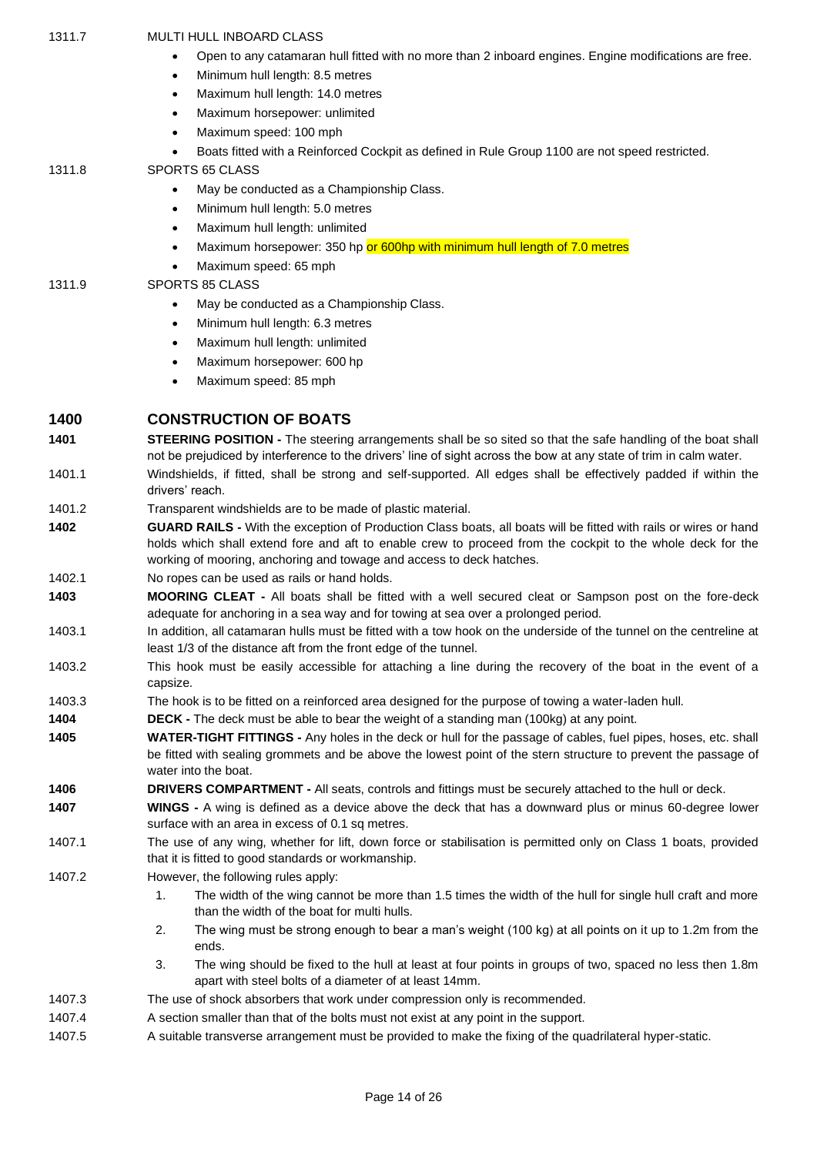| 1311.7 | <b>MULTI HULL INBOARD CLASS</b>                                                                                                                                                                                                                                                                        |
|--------|--------------------------------------------------------------------------------------------------------------------------------------------------------------------------------------------------------------------------------------------------------------------------------------------------------|
|        | Open to any catamaran hull fitted with no more than 2 inboard engines. Engine modifications are free.<br>٠                                                                                                                                                                                             |
|        | Minimum hull length: 8.5 metres<br>$\bullet$                                                                                                                                                                                                                                                           |
|        | Maximum hull length: 14.0 metres<br>$\bullet$                                                                                                                                                                                                                                                          |
|        | Maximum horsepower: unlimited<br>$\bullet$                                                                                                                                                                                                                                                             |
|        | Maximum speed: 100 mph<br>$\bullet$                                                                                                                                                                                                                                                                    |
| 1311.8 | Boats fitted with a Reinforced Cockpit as defined in Rule Group 1100 are not speed restricted.<br>$\bullet$<br>SPORTS 65 CLASS                                                                                                                                                                         |
|        | May be conducted as a Championship Class.<br>$\bullet$                                                                                                                                                                                                                                                 |
|        | Minimum hull length: 5.0 metres<br>$\bullet$                                                                                                                                                                                                                                                           |
|        | Maximum hull length: unlimited<br>$\bullet$                                                                                                                                                                                                                                                            |
|        | Maximum horsepower: 350 hp or 600hp with minimum hull length of 7.0 metres<br>$\bullet$                                                                                                                                                                                                                |
|        | Maximum speed: 65 mph<br>$\bullet$                                                                                                                                                                                                                                                                     |
| 1311.9 | SPORTS 85 CLASS                                                                                                                                                                                                                                                                                        |
|        | May be conducted as a Championship Class.<br>$\bullet$                                                                                                                                                                                                                                                 |
|        | Minimum hull length: 6.3 metres<br>$\bullet$                                                                                                                                                                                                                                                           |
|        | Maximum hull length: unlimited<br>$\bullet$                                                                                                                                                                                                                                                            |
|        | Maximum horsepower: 600 hp<br>$\bullet$                                                                                                                                                                                                                                                                |
|        | Maximum speed: 85 mph<br>$\bullet$                                                                                                                                                                                                                                                                     |
| 1400   | <b>CONSTRUCTION OF BOATS</b>                                                                                                                                                                                                                                                                           |
| 1401   | <b>STEERING POSITION -</b> The steering arrangements shall be so sited so that the safe handling of the boat shall                                                                                                                                                                                     |
|        | not be prejudiced by interference to the drivers' line of sight across the bow at any state of trim in calm water.                                                                                                                                                                                     |
| 1401.1 | Windshields, if fitted, shall be strong and self-supported. All edges shall be effectively padded if within the<br>drivers' reach.                                                                                                                                                                     |
| 1401.2 | Transparent windshields are to be made of plastic material.                                                                                                                                                                                                                                            |
| 1402   | GUARD RAILS - With the exception of Production Class boats, all boats will be fitted with rails or wires or hand<br>holds which shall extend fore and aft to enable crew to proceed from the cockpit to the whole deck for the<br>working of mooring, anchoring and towage and access to deck hatches. |
| 1402.1 | No ropes can be used as rails or hand holds.                                                                                                                                                                                                                                                           |
| 1403   | MOORING CLEAT - All boats shall be fitted with a well secured cleat or Sampson post on the fore-deck<br>adequate for anchoring in a sea way and for towing at sea over a prolonged period.                                                                                                             |
| 1403.1 | In addition, all catamaran hulls must be fitted with a tow hook on the underside of the tunnel on the centreline at<br>least 1/3 of the distance aft from the front edge of the tunnel.                                                                                                                |
| 1403.2 | This hook must be easily accessible for attaching a line during the recovery of the boat in the event of a<br>capsize.                                                                                                                                                                                 |
| 1403.3 | The hook is to be fitted on a reinforced area designed for the purpose of towing a water-laden hull.                                                                                                                                                                                                   |
| 1404   | <b>DECK</b> - The deck must be able to bear the weight of a standing man (100kg) at any point.                                                                                                                                                                                                         |
| 1405   | WATER-TIGHT FITTINGS - Any holes in the deck or hull for the passage of cables, fuel pipes, hoses, etc. shall<br>be fitted with sealing grommets and be above the lowest point of the stern structure to prevent the passage of<br>water into the boat.                                                |
| 1406   | DRIVERS COMPARTMENT - All seats, controls and fittings must be securely attached to the hull or deck.                                                                                                                                                                                                  |
| 1407   | WINGS - A wing is defined as a device above the deck that has a downward plus or minus 60-degree lower<br>surface with an area in excess of 0.1 sq metres.                                                                                                                                             |
| 1407.1 | The use of any wing, whether for lift, down force or stabilisation is permitted only on Class 1 boats, provided<br>that it is fitted to good standards or workmanship.                                                                                                                                 |
| 1407.2 | However, the following rules apply:                                                                                                                                                                                                                                                                    |
|        | 1.<br>The width of the wing cannot be more than 1.5 times the width of the hull for single hull craft and more<br>than the width of the boat for multi hulls.                                                                                                                                          |
|        | 2.<br>The wing must be strong enough to bear a man's weight (100 kg) at all points on it up to 1.2m from the<br>ends.                                                                                                                                                                                  |
|        | 3.<br>The wing should be fixed to the hull at least at four points in groups of two, spaced no less then 1.8m<br>apart with steel bolts of a diameter of at least 14mm.                                                                                                                                |
| 1407.3 | The use of shock absorbers that work under compression only is recommended.                                                                                                                                                                                                                            |
| 1407.4 | A section smaller than that of the bolts must not exist at any point in the support.                                                                                                                                                                                                                   |
| 1407.5 | A suitable transverse arrangement must be provided to make the fixing of the quadrilateral hyper-static.                                                                                                                                                                                               |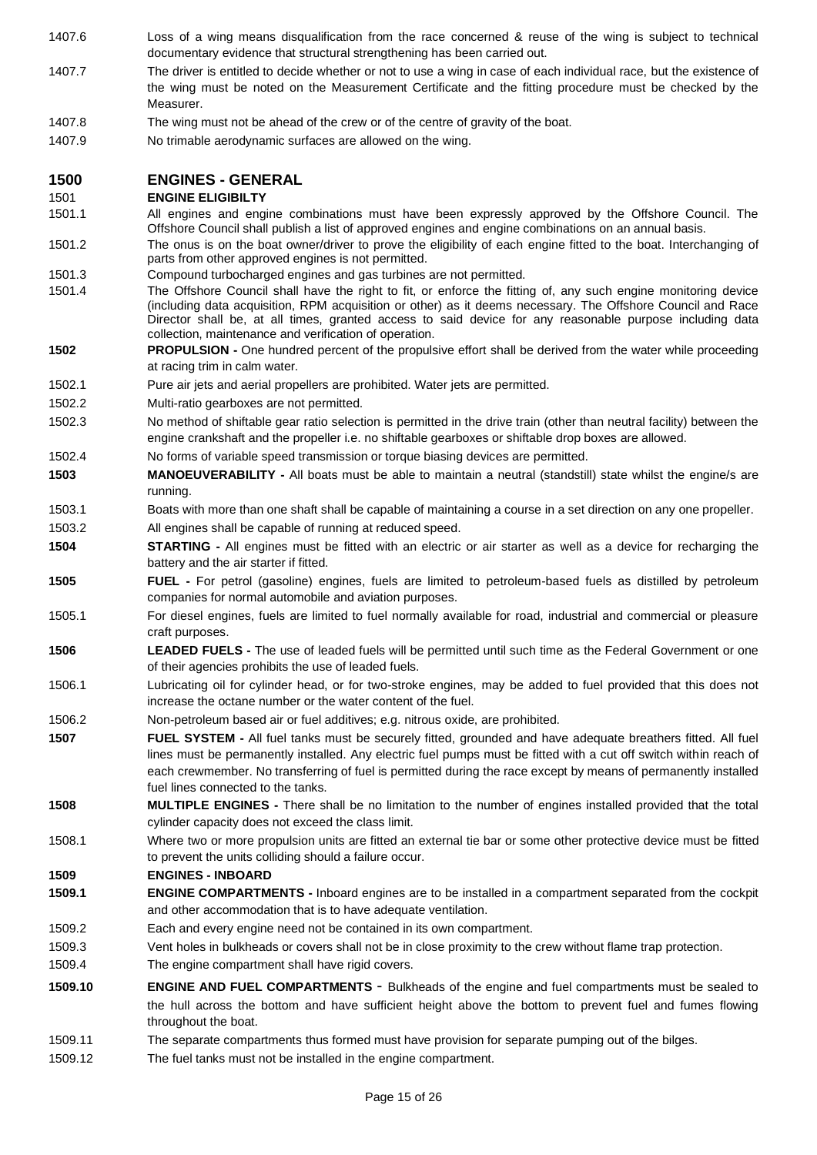1407.6 Loss of a wing means disqualification from the race concerned & reuse of the wing is subject to technical documentary evidence that structural strengthening has been carried out. 1407.7 The driver is entitled to decide whether or not to use a wing in case of each individual race, but the existence of the wing must be noted on the Measurement Certificate and the fitting procedure must be checked by the Measurer. 1407.8 The wing must not be ahead of the crew or of the centre of gravity of the boat. 1407.9 No trimable aerodynamic surfaces are allowed on the wing. **1500 ENGINES - GENERAL** 1501 **ENGINE ELIGIBILTY** 1501.1 All engines and engine combinations must have been expressly approved by the Offshore Council. The Offshore Council shall publish a list of approved engines and engine combinations on an annual basis. 1501.2 The onus is on the boat owner/driver to prove the eligibility of each engine fitted to the boat. Interchanging of parts from other approved engines is not permitted. 1501.3 Compound turbocharged engines and gas turbines are not permitted. 1501.4 The Offshore Council shall have the right to fit, or enforce the fitting of, any such engine monitoring device (including data acquisition, RPM acquisition or other) as it deems necessary. The Offshore Council and Race Director shall be, at all times, granted access to said device for any reasonable purpose including data collection, maintenance and verification of operation. **1502 PROPULSION -** One hundred percent of the propulsive effort shall be derived from the water while proceeding at racing trim in calm water. 1502.1 Pure air jets and aerial propellers are prohibited. Water jets are permitted. 1502.2 Multi-ratio gearboxes are not permitted. 1502.3 No method of shiftable gear ratio selection is permitted in the drive train (other than neutral facility) between the engine crankshaft and the propeller i.e. no shiftable gearboxes or shiftable drop boxes are allowed. 1502.4 No forms of variable speed transmission or torque biasing devices are permitted. **1503 MANOEUVERABILITY -** All boats must be able to maintain a neutral (standstill) state whilst the engine/s are running. 1503.1 Boats with more than one shaft shall be capable of maintaining a course in a set direction on any one propeller. 1503.2 All engines shall be capable of running at reduced speed. **1504 STARTING -** All engines must be fitted with an electric or air starter as well as a device for recharging the battery and the air starter if fitted. **1505 FUEL -** For petrol (gasoline) engines, fuels are limited to petroleum-based fuels as distilled by petroleum companies for normal automobile and aviation purposes. 1505.1 For diesel engines, fuels are limited to fuel normally available for road, industrial and commercial or pleasure craft purposes. **1506 LEADED FUELS -** The use of leaded fuels will be permitted until such time as the Federal Government or one of their agencies prohibits the use of leaded fuels. 1506.1 Lubricating oil for cylinder head, or for two-stroke engines, may be added to fuel provided that this does not increase the octane number or the water content of the fuel. 1506.2 Non-petroleum based air or fuel additives; e.g. nitrous oxide, are prohibited. **1507 FUEL SYSTEM -** All fuel tanks must be securely fitted, grounded and have adequate breathers fitted. All fuel lines must be permanently installed. Any electric fuel pumps must be fitted with a cut off switch within reach of each crewmember. No transferring of fuel is permitted during the race except by means of permanently installed fuel lines connected to the tanks. **1508 MULTIPLE ENGINES -** There shall be no limitation to the number of engines installed provided that the total cylinder capacity does not exceed the class limit. 1508.1 Where two or more propulsion units are fitted an external tie bar or some other protective device must be fitted to prevent the units colliding should a failure occur. **1509 ENGINES - INBOARD 1509.1 ENGINE COMPARTMENTS -** Inboard engines are to be installed in a compartment separated from the cockpit and other accommodation that is to have adequate ventilation. 1509.2 Each and every engine need not be contained in its own compartment. 1509.3 Vent holes in bulkheads or covers shall not be in close proximity to the crew without flame trap protection. 1509.4 The engine compartment shall have rigid covers. **1509.10 ENGINE AND FUEL COMPARTMENTS** - Bulkheads of the engine and fuel compartments must be sealed to the hull across the bottom and have sufficient height above the bottom to prevent fuel and fumes flowing throughout the boat. 1509.11 The separate compartments thus formed must have provision for separate pumping out of the bilges. 1509.12 The fuel tanks must not be installed in the engine compartment.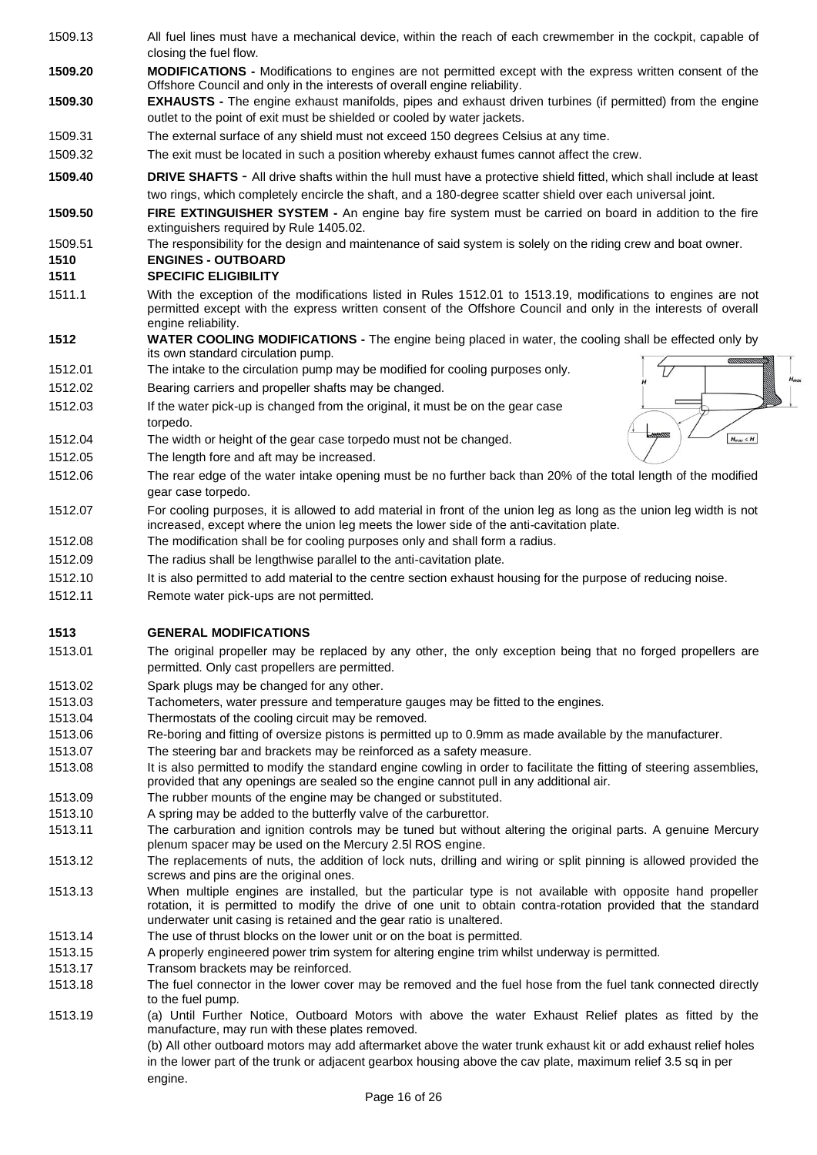- 1509.13 All fuel lines must have a mechanical device, within the reach of each crewmember in the cockpit, capable of closing the fuel flow. **1509.20 MODIFICATIONS -** Modifications to engines are not permitted except with the express written consent of the Offshore Council and only in the interests of overall engine reliability. **1509.30 EXHAUSTS -** The engine exhaust manifolds, pipes and exhaust driven turbines (if permitted) from the engine outlet to the point of exit must be shielded or cooled by water jackets. 1509.31 The external surface of any shield must not exceed 150 degrees Celsius at any time. 1509.32 The exit must be located in such a position whereby exhaust fumes cannot affect the crew. **1509.40 DRIVE SHAFTS** - All drive shafts within the hull must have a protective shield fitted, which shall include at least two rings, which completely encircle the shaft, and a 180-degree scatter shield over each universal joint. **1509.50 FIRE EXTINGUISHER SYSTEM -** An engine bay fire system must be carried on board in addition to the fire extinguishers required by Rule 1405.02. 1509.51 The responsibility for the design and maintenance of said system is solely on the riding crew and boat owner. **1510 ENGINES - OUTBOARD 1511 SPECIFIC ELIGIBILITY**
	- 1511.1 With the exception of the modifications listed in Rules 1512.01 to 1513.19, modifications to engines are not permitted except with the express written consent of the Offshore Council and only in the interests of overall engine reliability.
	- **1512 WATER COOLING MODIFICATIONS -** The engine being placed in water, the cooling shall be effected only by its own standard circulation pump.

Τ.

 $H_{max} \leq H$ 

- 1512.01 The intake to the circulation pump may be modified for cooling purposes only.
- 1512.02 Bearing carriers and propeller shafts may be changed.
- 1512.03 If the water pick-up is changed from the original, it must be on the gear case torpedo.
- 1512.04 The width or height of the gear case torpedo must not be changed.
- 1512.05 The length fore and aft may be increased.
- 1512.06 The rear edge of the water intake opening must be no further back than 20% of the total length of the modified gear case torpedo.
- 1512.07 For cooling purposes, it is allowed to add material in front of the union leg as long as the union leg width is not increased, except where the union leg meets the lower side of the anti-cavitation plate.
- 1512.08 The modification shall be for cooling purposes only and shall form a radius.
- 1512.09 The radius shall be lengthwise parallel to the anti-cavitation plate.
- 1512.10 It is also permitted to add material to the centre section exhaust housing for the purpose of reducing noise.
- 1512.11 Remote water pick-ups are not permitted.

#### **1513 GENERAL MODIFICATIONS**

- 1513.01 The original propeller may be replaced by any other, the only exception being that no forged propellers are permitted. Only cast propellers are permitted.
- 1513.02 Spark plugs may be changed for any other.
- 1513.03 Tachometers, water pressure and temperature gauges may be fitted to the engines.
- 1513.04 Thermostats of the cooling circuit may be removed.
- 1513.06 Re-boring and fitting of oversize pistons is permitted up to 0.9mm as made available by the manufacturer.
- 1513.07 The steering bar and brackets may be reinforced as a safety measure.
- 1513.08 It is also permitted to modify the standard engine cowling in order to facilitate the fitting of steering assemblies, provided that any openings are sealed so the engine cannot pull in any additional air.
- 1513.09 The rubber mounts of the engine may be changed or substituted.
- 1513.10 A spring may be added to the butterfly valve of the carburettor.
- 1513.11 The carburation and ignition controls may be tuned but without altering the original parts. A genuine Mercury plenum spacer may be used on the Mercury 2.5l ROS engine.
- 1513.12 The replacements of nuts, the addition of lock nuts, drilling and wiring or split pinning is allowed provided the screws and pins are the original ones.
- 1513.13 When multiple engines are installed, but the particular type is not available with opposite hand propeller rotation, it is permitted to modify the drive of one unit to obtain contra-rotation provided that the standard underwater unit casing is retained and the gear ratio is unaltered.
- 1513.14 The use of thrust blocks on the lower unit or on the boat is permitted.
- 1513.15 A properly engineered power trim system for altering engine trim whilst underway is permitted.
- 1513.17 Transom brackets may be reinforced.
- 1513.18 The fuel connector in the lower cover may be removed and the fuel hose from the fuel tank connected directly to the fuel pump.
- 1513.19 (a) Until Further Notice, Outboard Motors with above the water Exhaust Relief plates as fitted by the manufacture, may run with these plates removed.

(b) All other outboard motors may add aftermarket above the water trunk exhaust kit or add exhaust relief holes in the lower part of the trunk or adjacent gearbox housing above the cav plate, maximum relief 3.5 sq in per engine.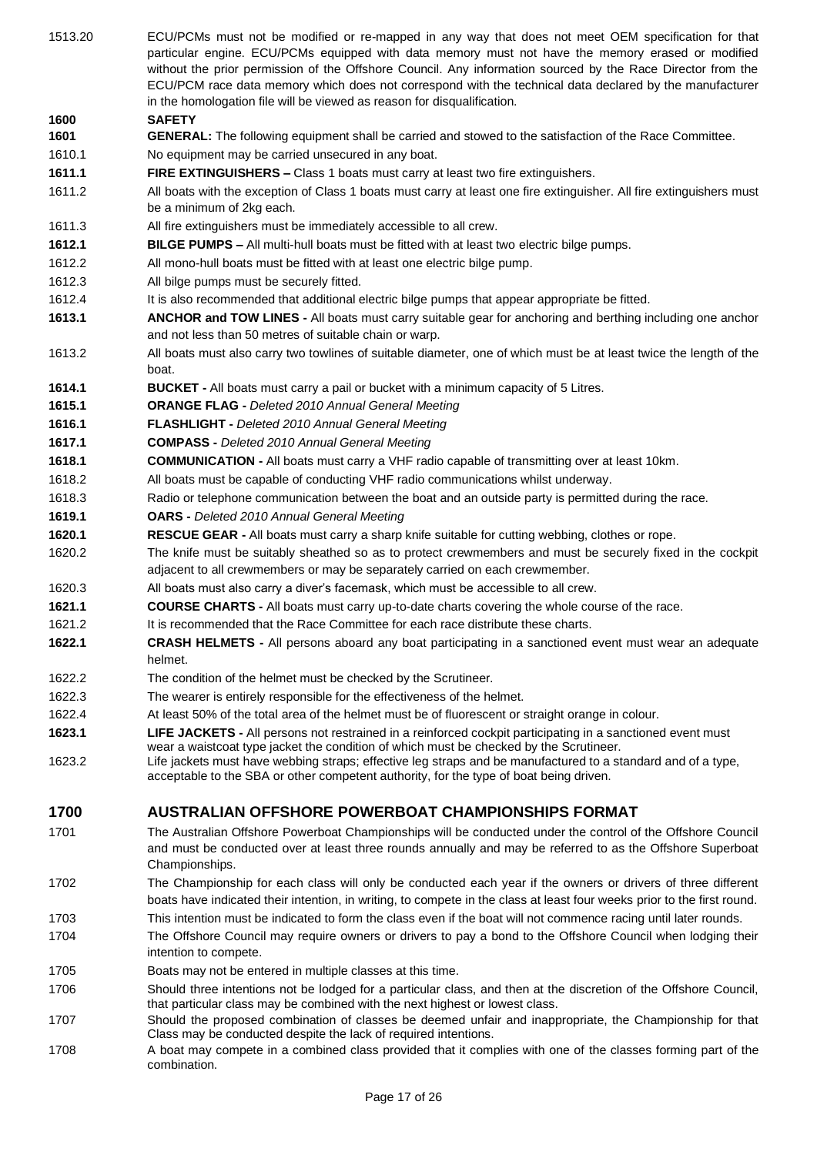| 1513.20 | ECU/PCMs must not be modified or re-mapped in any way that does not meet OEM specification for that<br>particular engine. ECU/PCMs equipped with data memory must not have the memory erased or modified<br>without the prior permission of the Offshore Council. Any information sourced by the Race Director from the<br>ECU/PCM race data memory which does not correspond with the technical data declared by the manufacturer<br>in the homologation file will be viewed as reason for disqualification. |
|---------|---------------------------------------------------------------------------------------------------------------------------------------------------------------------------------------------------------------------------------------------------------------------------------------------------------------------------------------------------------------------------------------------------------------------------------------------------------------------------------------------------------------|
| 1600    | <b>SAFETY</b>                                                                                                                                                                                                                                                                                                                                                                                                                                                                                                 |
| 1601    | GENERAL: The following equipment shall be carried and stowed to the satisfaction of the Race Committee.                                                                                                                                                                                                                                                                                                                                                                                                       |
| 1610.1  | No equipment may be carried unsecured in any boat.                                                                                                                                                                                                                                                                                                                                                                                                                                                            |
| 1611.1  | FIRE EXTINGUISHERS - Class 1 boats must carry at least two fire extinguishers.                                                                                                                                                                                                                                                                                                                                                                                                                                |
| 1611.2  | All boats with the exception of Class 1 boats must carry at least one fire extinguisher. All fire extinguishers must<br>be a minimum of 2kg each.                                                                                                                                                                                                                                                                                                                                                             |
| 1611.3  | All fire extinguishers must be immediately accessible to all crew.                                                                                                                                                                                                                                                                                                                                                                                                                                            |
| 1612.1  | BILGE PUMPS - All multi-hull boats must be fitted with at least two electric bilge pumps.                                                                                                                                                                                                                                                                                                                                                                                                                     |
| 1612.2  | All mono-hull boats must be fitted with at least one electric bilge pump.                                                                                                                                                                                                                                                                                                                                                                                                                                     |
| 1612.3  | All bilge pumps must be securely fitted.                                                                                                                                                                                                                                                                                                                                                                                                                                                                      |
| 1612.4  | It is also recommended that additional electric bilge pumps that appear appropriate be fitted.                                                                                                                                                                                                                                                                                                                                                                                                                |
| 1613.1  | ANCHOR and TOW LINES - All boats must carry suitable gear for anchoring and berthing including one anchor<br>and not less than 50 metres of suitable chain or warp.                                                                                                                                                                                                                                                                                                                                           |
| 1613.2  | All boats must also carry two towlines of suitable diameter, one of which must be at least twice the length of the<br>boat.                                                                                                                                                                                                                                                                                                                                                                                   |
| 1614.1  | <b>BUCKET</b> - All boats must carry a pail or bucket with a minimum capacity of 5 Litres.                                                                                                                                                                                                                                                                                                                                                                                                                    |
| 1615.1  | <b>ORANGE FLAG - Deleted 2010 Annual General Meeting</b>                                                                                                                                                                                                                                                                                                                                                                                                                                                      |
| 1616.1  | FLASHLIGHT - Deleted 2010 Annual General Meeting                                                                                                                                                                                                                                                                                                                                                                                                                                                              |
| 1617.1  | <b>COMPASS</b> - Deleted 2010 Annual General Meeting                                                                                                                                                                                                                                                                                                                                                                                                                                                          |
| 1618.1  | <b>COMMUNICATION</b> - All boats must carry a VHF radio capable of transmitting over at least 10km.                                                                                                                                                                                                                                                                                                                                                                                                           |
| 1618.2  | All boats must be capable of conducting VHF radio communications whilst underway.                                                                                                                                                                                                                                                                                                                                                                                                                             |
| 1618.3  | Radio or telephone communication between the boat and an outside party is permitted during the race.                                                                                                                                                                                                                                                                                                                                                                                                          |
| 1619.1  | <b>OARS</b> - Deleted 2010 Annual General Meeting                                                                                                                                                                                                                                                                                                                                                                                                                                                             |
| 1620.1  | RESCUE GEAR - All boats must carry a sharp knife suitable for cutting webbing, clothes or rope.                                                                                                                                                                                                                                                                                                                                                                                                               |
| 1620.2  | The knife must be suitably sheathed so as to protect crewmembers and must be securely fixed in the cockpit<br>adjacent to all crewmembers or may be separately carried on each crewmember.                                                                                                                                                                                                                                                                                                                    |
| 1620.3  | All boats must also carry a diver's facemask, which must be accessible to all crew.                                                                                                                                                                                                                                                                                                                                                                                                                           |
| 1621.1  | <b>COURSE CHARTS - All boats must carry up-to-date charts covering the whole course of the race.</b>                                                                                                                                                                                                                                                                                                                                                                                                          |
| 1621.2  | It is recommended that the Race Committee for each race distribute these charts.                                                                                                                                                                                                                                                                                                                                                                                                                              |
| 1622.1  | <b>CRASH HELMETS - All persons aboard any boat participating in a sanctioned event must wear an adequate</b><br>helmet.                                                                                                                                                                                                                                                                                                                                                                                       |
| 1622.2  | The condition of the helmet must be checked by the Scrutineer.                                                                                                                                                                                                                                                                                                                                                                                                                                                |
| 1622.3  | The wearer is entirely responsible for the effectiveness of the helmet.                                                                                                                                                                                                                                                                                                                                                                                                                                       |
| 1622.4  | At least 50% of the total area of the helmet must be of fluorescent or straight orange in colour.                                                                                                                                                                                                                                                                                                                                                                                                             |
| 1623.1  | LIFE JACKETS - All persons not restrained in a reinforced cockpit participating in a sanctioned event must<br>wear a waistcoat type jacket the condition of which must be checked by the Scrutineer.                                                                                                                                                                                                                                                                                                          |
| 1623.2  | Life jackets must have webbing straps; effective leg straps and be manufactured to a standard and of a type,<br>acceptable to the SBA or other competent authority, for the type of boat being driven.                                                                                                                                                                                                                                                                                                        |
| 1700    | <b>AUSTRALIAN OFFSHORE POWERBOAT CHAMPIONSHIPS FORMAT</b>                                                                                                                                                                                                                                                                                                                                                                                                                                                     |
| 1701    | The Australian Offshore Powerboat Championships will be conducted under the control of the Offshore Council<br>and must be conducted over at least three rounds annually and may be referred to as the Offshore Superboat<br>Championships.                                                                                                                                                                                                                                                                   |
| 1702    | The Championship for each class will only be conducted each year if the owners or drivers of three different<br>boats have indicated their intention, in writing, to compete in the class at least four weeks prior to the first round.                                                                                                                                                                                                                                                                       |
| 1703    | This intention must be indicated to form the class even if the boat will not commence racing until later rounds.                                                                                                                                                                                                                                                                                                                                                                                              |
| 1704    | The Offshore Council may require owners or drivers to pay a bond to the Offshore Council when lodging their<br>intention to compete.                                                                                                                                                                                                                                                                                                                                                                          |
| 1705    | Boats may not be entered in multiple classes at this time.                                                                                                                                                                                                                                                                                                                                                                                                                                                    |
| 1706    | Should three intentions not be lodged for a particular class, and then at the discretion of the Offshore Council,<br>that particular class may be combined with the next highest or lowest class.                                                                                                                                                                                                                                                                                                             |
| 1707    | Should the proposed combination of classes be deemed unfair and inappropriate, the Championship for that<br>Class may be conducted despite the lack of required intentions.                                                                                                                                                                                                                                                                                                                                   |

1708 A boat may compete in a combined class provided that it complies with one of the classes forming part of the combination.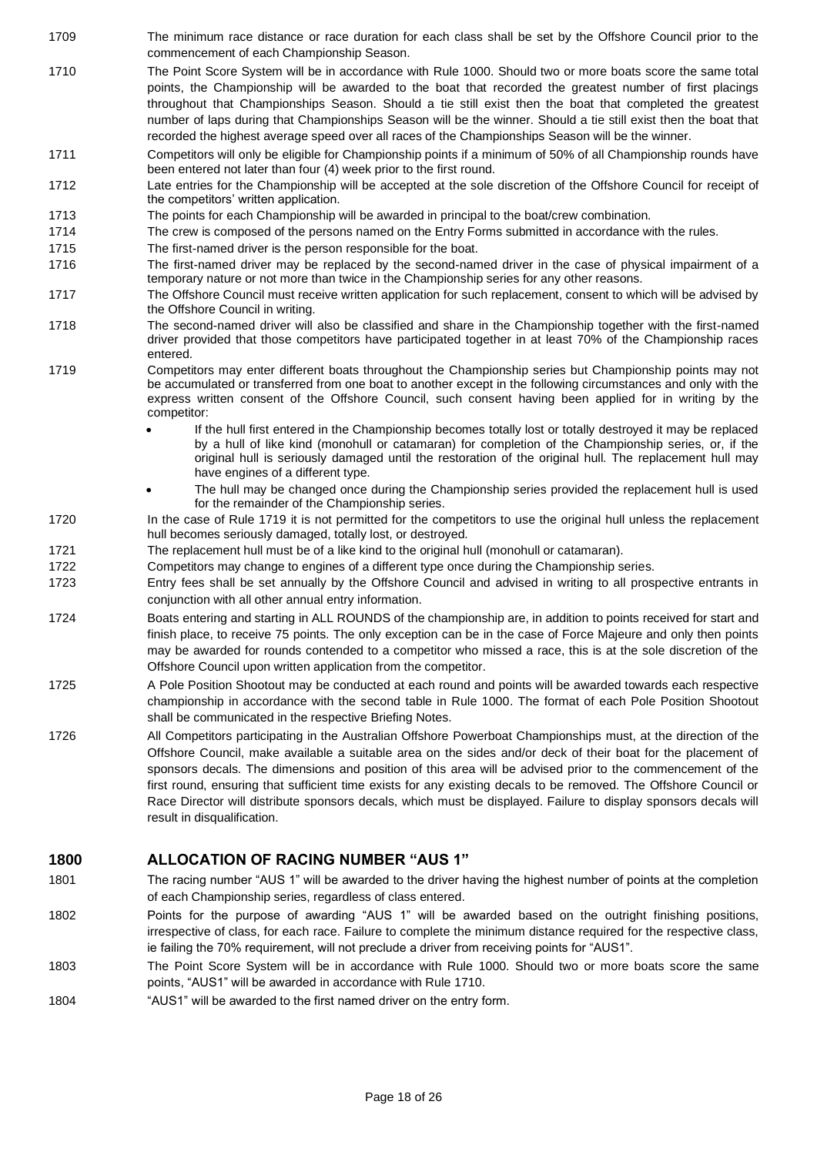- 1709 The minimum race distance or race duration for each class shall be set by the Offshore Council prior to the commencement of each Championship Season.
- 1710 The Point Score System will be in accordance with Rule 1000. Should two or more boats score the same total points, the Championship will be awarded to the boat that recorded the greatest number of first placings throughout that Championships Season. Should a tie still exist then the boat that completed the greatest number of laps during that Championships Season will be the winner. Should a tie still exist then the boat that recorded the highest average speed over all races of the Championships Season will be the winner.
- 1711 Competitors will only be eligible for Championship points if a minimum of 50% of all Championship rounds have been entered not later than four (4) week prior to the first round.
- 1712 Late entries for the Championship will be accepted at the sole discretion of the Offshore Council for receipt of the competitors' written application.
- 1713 The points for each Championship will be awarded in principal to the boat/crew combination.
- 1714 The crew is composed of the persons named on the Entry Forms submitted in accordance with the rules.
- 1715 The first-named driver is the person responsible for the boat.
- 1716 The first-named driver may be replaced by the second-named driver in the case of physical impairment of a temporary nature or not more than twice in the Championship series for any other reasons.
- 1717 The Offshore Council must receive written application for such replacement, consent to which will be advised by the Offshore Council in writing.
- 1718 The second-named driver will also be classified and share in the Championship together with the first-named driver provided that those competitors have participated together in at least 70% of the Championship races entered.
- 1719 Competitors may enter different boats throughout the Championship series but Championship points may not be accumulated or transferred from one boat to another except in the following circumstances and only with the express written consent of the Offshore Council, such consent having been applied for in writing by the competitor:
	- If the hull first entered in the Championship becomes totally lost or totally destroyed it may be replaced by a hull of like kind (monohull or catamaran) for completion of the Championship series, or, if the original hull is seriously damaged until the restoration of the original hull. The replacement hull may have engines of a different type.
	- The hull may be changed once during the Championship series provided the replacement hull is used for the remainder of the Championship series.
- 1720 In the case of Rule 1719 it is not permitted for the competitors to use the original hull unless the replacement hull becomes seriously damaged, totally lost, or destroyed.
- 1721 The replacement hull must be of a like kind to the original hull (monohull or catamaran).
- 1722 Competitors may change to engines of a different type once during the Championship series.
- 1723 Entry fees shall be set annually by the Offshore Council and advised in writing to all prospective entrants in conjunction with all other annual entry information.
- 1724 Boats entering and starting in ALL ROUNDS of the championship are, in addition to points received for start and finish place, to receive 75 points. The only exception can be in the case of Force Majeure and only then points may be awarded for rounds contended to a competitor who missed a race, this is at the sole discretion of the Offshore Council upon written application from the competitor.
- 1725 A Pole Position Shootout may be conducted at each round and points will be awarded towards each respective championship in accordance with the second table in Rule 1000. The format of each Pole Position Shootout shall be communicated in the respective Briefing Notes.
- 1726 All Competitors participating in the Australian Offshore Powerboat Championships must, at the direction of the Offshore Council, make available a suitable area on the sides and/or deck of their boat for the placement of sponsors decals. The dimensions and position of this area will be advised prior to the commencement of the first round, ensuring that sufficient time exists for any existing decals to be removed. The Offshore Council or Race Director will distribute sponsors decals, which must be displayed. Failure to display sponsors decals will result in disqualification.

### **1800 ALLOCATION OF RACING NUMBER "AUS 1"**

- 1801 The racing number "AUS 1" will be awarded to the driver having the highest number of points at the completion of each Championship series, regardless of class entered.
- 1802 Points for the purpose of awarding "AUS 1" will be awarded based on the outright finishing positions, irrespective of class, for each race. Failure to complete the minimum distance required for the respective class, ie failing the 70% requirement, will not preclude a driver from receiving points for "AUS1".
- 1803 The Point Score System will be in accordance with Rule 1000. Should two or more boats score the same points, "AUS1" will be awarded in accordance with Rule 1710.
- 1804 "AUS1" will be awarded to the first named driver on the entry form.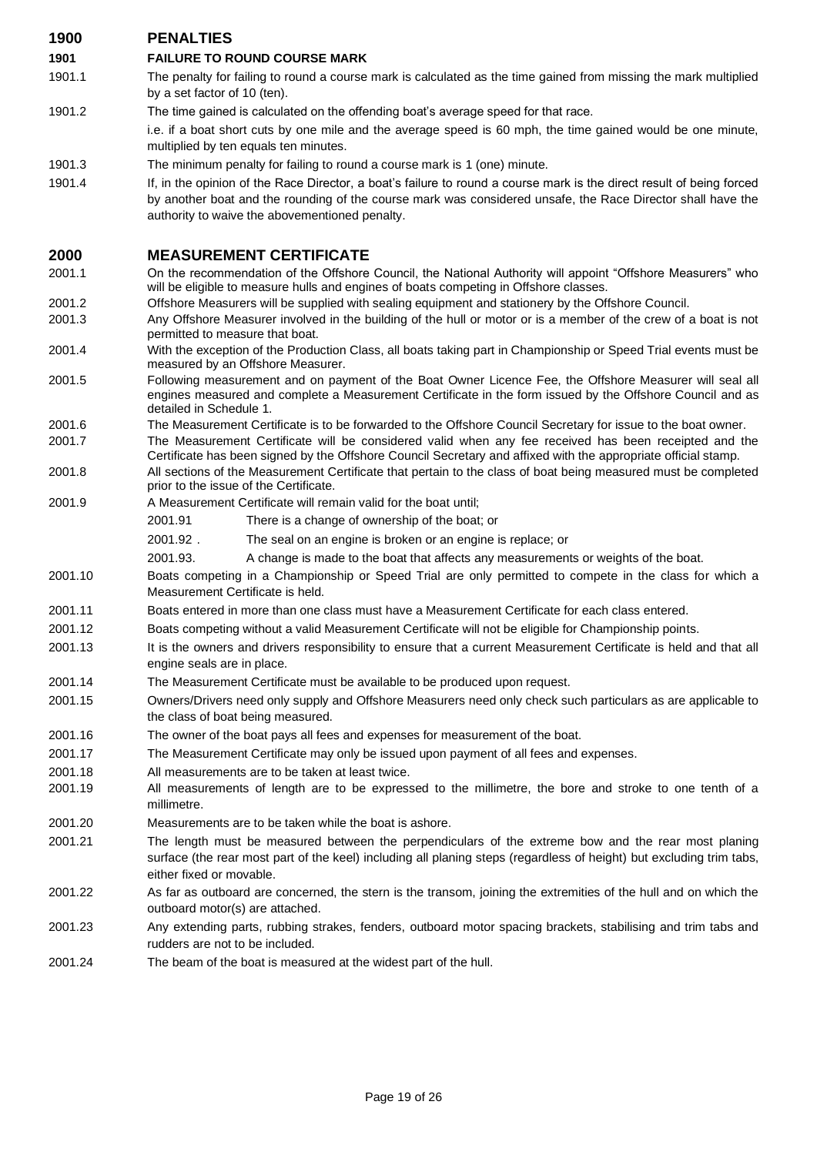| 1900    | <b>PENALTIES</b>                                                                                                                                                                                                                                                                       |
|---------|----------------------------------------------------------------------------------------------------------------------------------------------------------------------------------------------------------------------------------------------------------------------------------------|
| 1901    | <b>FAILURE TO ROUND COURSE MARK</b>                                                                                                                                                                                                                                                    |
| 1901.1  | The penalty for failing to round a course mark is calculated as the time gained from missing the mark multiplied<br>by a set factor of 10 (ten).                                                                                                                                       |
| 1901.2  | The time gained is calculated on the offending boat's average speed for that race.                                                                                                                                                                                                     |
|         | i.e. if a boat short cuts by one mile and the average speed is 60 mph, the time gained would be one minute,<br>multiplied by ten equals ten minutes.                                                                                                                                   |
| 1901.3  | The minimum penalty for failing to round a course mark is 1 (one) minute.                                                                                                                                                                                                              |
| 1901.4  | If, in the opinion of the Race Director, a boat's failure to round a course mark is the direct result of being forced<br>by another boat and the rounding of the course mark was considered unsafe, the Race Director shall have the<br>authority to waive the abovementioned penalty. |
| 2000    | <b>MEASUREMENT CERTIFICATE</b>                                                                                                                                                                                                                                                         |
| 2001.1  | On the recommendation of the Offshore Council, the National Authority will appoint "Offshore Measurers" who<br>will be eligible to measure hulls and engines of boats competing in Offshore classes.                                                                                   |
| 2001.2  | Offshore Measurers will be supplied with sealing equipment and stationery by the Offshore Council.                                                                                                                                                                                     |
| 2001.3  | Any Offshore Measurer involved in the building of the hull or motor or is a member of the crew of a boat is not<br>permitted to measure that boat.                                                                                                                                     |
| 2001.4  | With the exception of the Production Class, all boats taking part in Championship or Speed Trial events must be<br>measured by an Offshore Measurer.                                                                                                                                   |
| 2001.5  | Following measurement and on payment of the Boat Owner Licence Fee, the Offshore Measurer will seal all<br>engines measured and complete a Measurement Certificate in the form issued by the Offshore Council and as<br>detailed in Schedule 1.                                        |
| 2001.6  | The Measurement Certificate is to be forwarded to the Offshore Council Secretary for issue to the boat owner.                                                                                                                                                                          |
| 2001.7  | The Measurement Certificate will be considered valid when any fee received has been receipted and the<br>Certificate has been signed by the Offshore Council Secretary and affixed with the appropriate official stamp.                                                                |
| 2001.8  | All sections of the Measurement Certificate that pertain to the class of boat being measured must be completed<br>prior to the issue of the Certificate.                                                                                                                               |
| 2001.9  | A Measurement Certificate will remain valid for the boat until;                                                                                                                                                                                                                        |
|         | 2001.91<br>There is a change of ownership of the boat; or                                                                                                                                                                                                                              |
|         | 2001.92.<br>The seal on an engine is broken or an engine is replace; or                                                                                                                                                                                                                |
|         | 2001.93.<br>A change is made to the boat that affects any measurements or weights of the boat.                                                                                                                                                                                         |
| 2001.10 | Boats competing in a Championship or Speed Trial are only permitted to compete in the class for which a<br>Measurement Certificate is held.                                                                                                                                            |
| 2001.11 | Boats entered in more than one class must have a Measurement Certificate for each class entered.                                                                                                                                                                                       |
| 2001.12 | Boats competing without a valid Measurement Certificate will not be eligible for Championship points.                                                                                                                                                                                  |
| 2001.13 | It is the owners and drivers responsibility to ensure that a current Measurement Certificate is held and that all<br>engine seals are in place.                                                                                                                                        |
| 2001.14 | The Measurement Certificate must be available to be produced upon request.                                                                                                                                                                                                             |
| 2001.15 | Owners/Drivers need only supply and Offshore Measurers need only check such particulars as are applicable to<br>the class of boat being measured.                                                                                                                                      |
| 2001.16 | The owner of the boat pays all fees and expenses for measurement of the boat.                                                                                                                                                                                                          |
| 2001.17 | The Measurement Certificate may only be issued upon payment of all fees and expenses.                                                                                                                                                                                                  |
| 2001.18 | All measurements are to be taken at least twice.                                                                                                                                                                                                                                       |
| 2001.19 | All measurements of length are to be expressed to the millimetre, the bore and stroke to one tenth of a<br>millimetre.                                                                                                                                                                 |
| 2001.20 | Measurements are to be taken while the boat is ashore.                                                                                                                                                                                                                                 |
| 2001.21 | The length must be measured between the perpendiculars of the extreme bow and the rear most planing<br>surface (the rear most part of the keel) including all planing steps (regardless of height) but excluding trim tabs,<br>either fixed or movable.                                |
| 2001.22 | As far as outboard are concerned, the stern is the transom, joining the extremities of the hull and on which the<br>outboard motor(s) are attached.                                                                                                                                    |
| 2001.23 | Any extending parts, rubbing strakes, fenders, outboard motor spacing brackets, stabilising and trim tabs and<br>rudders are not to be included.                                                                                                                                       |
| 2001.24 | The beam of the boat is measured at the widest part of the hull.                                                                                                                                                                                                                       |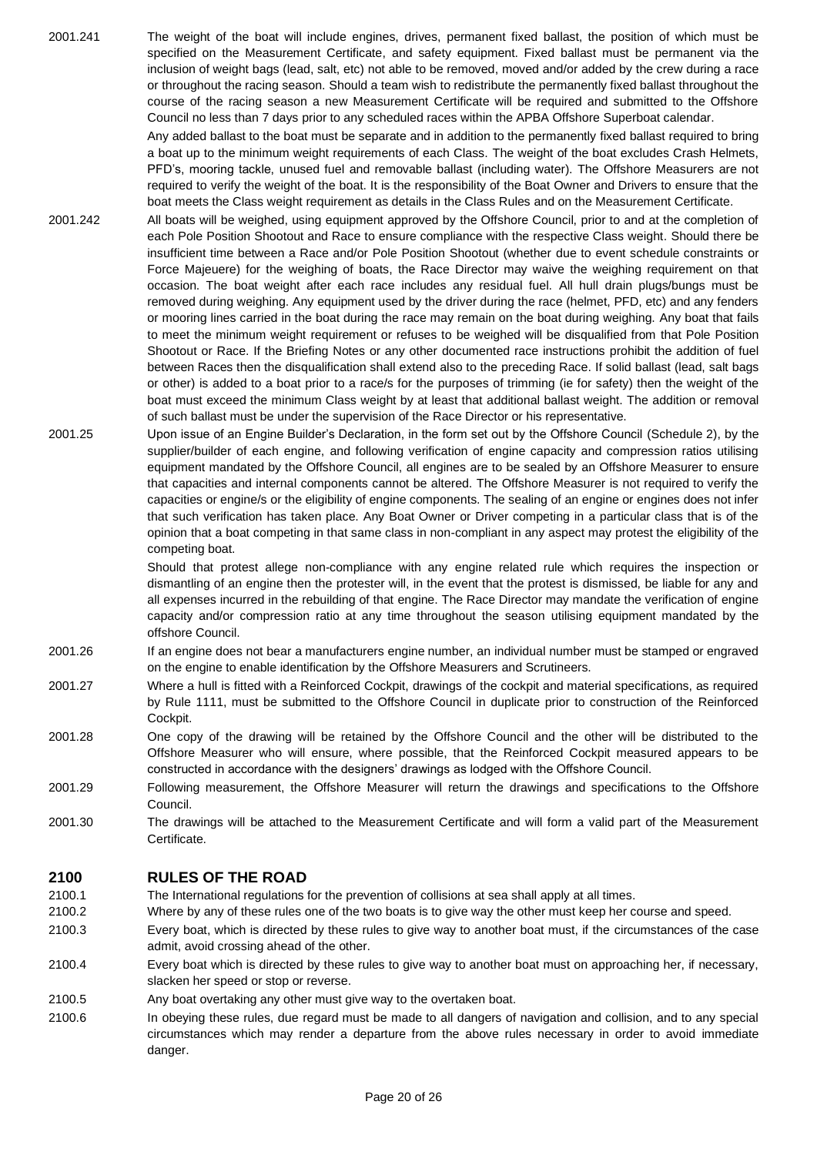2001.241 The weight of the boat will include engines, drives, permanent fixed ballast, the position of which must be specified on the Measurement Certificate, and safety equipment. Fixed ballast must be permanent via the inclusion of weight bags (lead, salt, etc) not able to be removed, moved and/or added by the crew during a race or throughout the racing season. Should a team wish to redistribute the permanently fixed ballast throughout the course of the racing season a new Measurement Certificate will be required and submitted to the Offshore Council no less than 7 days prior to any scheduled races within the APBA Offshore Superboat calendar.

> Any added ballast to the boat must be separate and in addition to the permanently fixed ballast required to bring a boat up to the minimum weight requirements of each Class. The weight of the boat excludes Crash Helmets, PFD's, mooring tackle, unused fuel and removable ballast (including water). The Offshore Measurers are not required to verify the weight of the boat. It is the responsibility of the Boat Owner and Drivers to ensure that the boat meets the Class weight requirement as details in the Class Rules and on the Measurement Certificate.

- 2001.242 All boats will be weighed, using equipment approved by the Offshore Council, prior to and at the completion of each Pole Position Shootout and Race to ensure compliance with the respective Class weight. Should there be insufficient time between a Race and/or Pole Position Shootout (whether due to event schedule constraints or Force Majeuere) for the weighing of boats, the Race Director may waive the weighing requirement on that occasion. The boat weight after each race includes any residual fuel. All hull drain plugs/bungs must be removed during weighing. Any equipment used by the driver during the race (helmet, PFD, etc) and any fenders or mooring lines carried in the boat during the race may remain on the boat during weighing. Any boat that fails to meet the minimum weight requirement or refuses to be weighed will be disqualified from that Pole Position Shootout or Race. If the Briefing Notes or any other documented race instructions prohibit the addition of fuel between Races then the disqualification shall extend also to the preceding Race. If solid ballast (lead, salt bags or other) is added to a boat prior to a race/s for the purposes of trimming (ie for safety) then the weight of the boat must exceed the minimum Class weight by at least that additional ballast weight. The addition or removal of such ballast must be under the supervision of the Race Director or his representative.
- 2001.25 Upon issue of an Engine Builder's Declaration, in the form set out by the Offshore Council (Schedule 2), by the supplier/builder of each engine, and following verification of engine capacity and compression ratios utilising equipment mandated by the Offshore Council, all engines are to be sealed by an Offshore Measurer to ensure that capacities and internal components cannot be altered. The Offshore Measurer is not required to verify the capacities or engine/s or the eligibility of engine components. The sealing of an engine or engines does not infer that such verification has taken place. Any Boat Owner or Driver competing in a particular class that is of the opinion that a boat competing in that same class in non-compliant in any aspect may protest the eligibility of the competing boat.

Should that protest allege non-compliance with any engine related rule which requires the inspection or dismantling of an engine then the protester will, in the event that the protest is dismissed, be liable for any and all expenses incurred in the rebuilding of that engine. The Race Director may mandate the verification of engine capacity and/or compression ratio at any time throughout the season utilising equipment mandated by the offshore Council.

- 2001.26 If an engine does not bear a manufacturers engine number, an individual number must be stamped or engraved on the engine to enable identification by the Offshore Measurers and Scrutineers.
- 2001.27 Where a hull is fitted with a Reinforced Cockpit, drawings of the cockpit and material specifications, as required by Rule 1111, must be submitted to the Offshore Council in duplicate prior to construction of the Reinforced Cockpit.
- 2001.28 One copy of the drawing will be retained by the Offshore Council and the other will be distributed to the Offshore Measurer who will ensure, where possible, that the Reinforced Cockpit measured appears to be constructed in accordance with the designers' drawings as lodged with the Offshore Council.
- 2001.29 Following measurement, the Offshore Measurer will return the drawings and specifications to the Offshore Council.
- 2001.30 The drawings will be attached to the Measurement Certificate and will form a valid part of the Measurement Certificate.

# **2100 RULES OF THE ROAD**

2100.1 The International regulations for the prevention of collisions at sea shall apply at all times.

- 2100.2 Where by any of these rules one of the two boats is to give way the other must keep her course and speed.
- 2100.3 Every boat, which is directed by these rules to give way to another boat must, if the circumstances of the case admit, avoid crossing ahead of the other.
- 2100.4 Every boat which is directed by these rules to give way to another boat must on approaching her, if necessary, slacken her speed or stop or reverse.
- 2100.5 Any boat overtaking any other must give way to the overtaken boat.
- 2100.6 In obeying these rules, due regard must be made to all dangers of navigation and collision, and to any special circumstances which may render a departure from the above rules necessary in order to avoid immediate danger.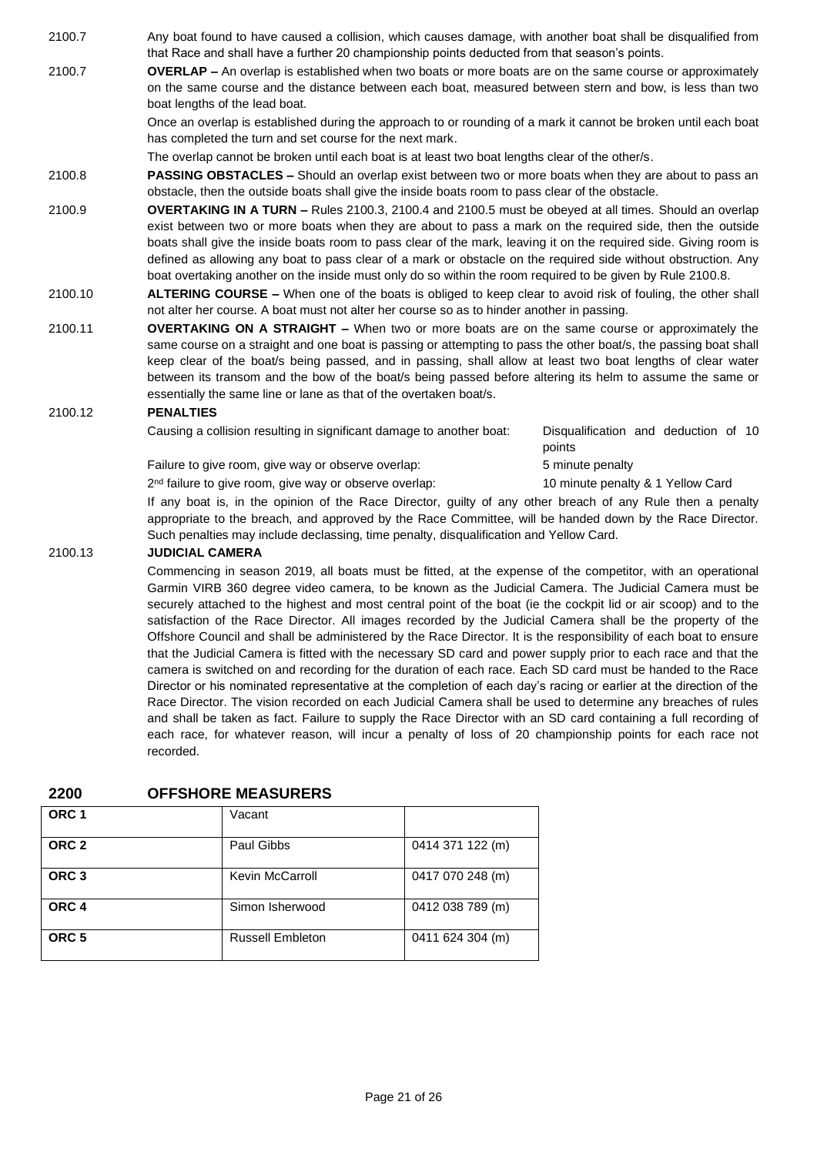2100.7 Any boat found to have caused a collision, which causes damage, with another boat shall be disqualified from that Race and shall have a further 20 championship points deducted from that season's points.

2100.7 **OVERLAP –** An overlap is established when two boats or more boats are on the same course or approximately on the same course and the distance between each boat, measured between stern and bow, is less than two boat lengths of the lead boat.

> Once an overlap is established during the approach to or rounding of a mark it cannot be broken until each boat has completed the turn and set course for the next mark.

The overlap cannot be broken until each boat is at least two boat lengths clear of the other/s.

2100.8 **PASSING OBSTACLES –** Should an overlap exist between two or more boats when they are about to pass an obstacle, then the outside boats shall give the inside boats room to pass clear of the obstacle.

- 2100.9 **OVERTAKING IN A TURN –** Rules 2100.3, 2100.4 and 2100.5 must be obeyed at all times. Should an overlap exist between two or more boats when they are about to pass a mark on the required side, then the outside boats shall give the inside boats room to pass clear of the mark, leaving it on the required side. Giving room is defined as allowing any boat to pass clear of a mark or obstacle on the required side without obstruction. Any boat overtaking another on the inside must only do so within the room required to be given by Rule 2100.8.
- 2100.10 **ALTERING COURSE –** When one of the boats is obliged to keep clear to avoid risk of fouling, the other shall not alter her course. A boat must not alter her course so as to hinder another in passing.
- 2100.11 **OVERTAKING ON A STRAIGHT –** When two or more boats are on the same course or approximately the same course on a straight and one boat is passing or attempting to pass the other boat/s, the passing boat shall keep clear of the boat/s being passed, and in passing, shall allow at least two boat lengths of clear water between its transom and the bow of the boat/s being passed before altering its helm to assume the same or essentially the same line or lane as that of the overtaken boat/s.

### 2100.12 **PENALTIES**

Causing a collision resulting in significant damage to another boat: Disqualification and deduction of 10

points

Failure to give room, give way or observe overlap: 5 minute penalty

2<sup>nd</sup> failure to give room, give way or observe overlap: 10 minute penalty & 1 Yellow Card

If any boat is, in the opinion of the Race Director, guilty of any other breach of any Rule then a penalty appropriate to the breach, and approved by the Race Committee, will be handed down by the Race Director. Such penalties may include declassing, time penalty, disqualification and Yellow Card.

#### 2100.13 **JUDICIAL CAMERA**

Commencing in season 2019, all boats must be fitted, at the expense of the competitor, with an operational Garmin VIRB 360 degree video camera, to be known as the Judicial Camera. The Judicial Camera must be securely attached to the highest and most central point of the boat (ie the cockpit lid or air scoop) and to the satisfaction of the Race Director. All images recorded by the Judicial Camera shall be the property of the Offshore Council and shall be administered by the Race Director. It is the responsibility of each boat to ensure that the Judicial Camera is fitted with the necessary SD card and power supply prior to each race and that the camera is switched on and recording for the duration of each race. Each SD card must be handed to the Race Director or his nominated representative at the completion of each day's racing or earlier at the direction of the Race Director. The vision recorded on each Judicial Camera shall be used to determine any breaches of rules and shall be taken as fact. Failure to supply the Race Director with an SD card containing a full recording of each race, for whatever reason, will incur a penalty of loss of 20 championship points for each race not recorded.

### **2200 OFFSHORE MEASURERS**

| ORC <sub>1</sub> | Vacant                  |                  |
|------------------|-------------------------|------------------|
| ORC <sub>2</sub> | Paul Gibbs              | 0414 371 122 (m) |
| ORC <sub>3</sub> | Kevin McCarroll         | 0417 070 248 (m) |
| ORC <sub>4</sub> | Simon Isherwood         | 0412 038 789 (m) |
| ORC <sub>5</sub> | <b>Russell Embleton</b> | 0411 624 304 (m) |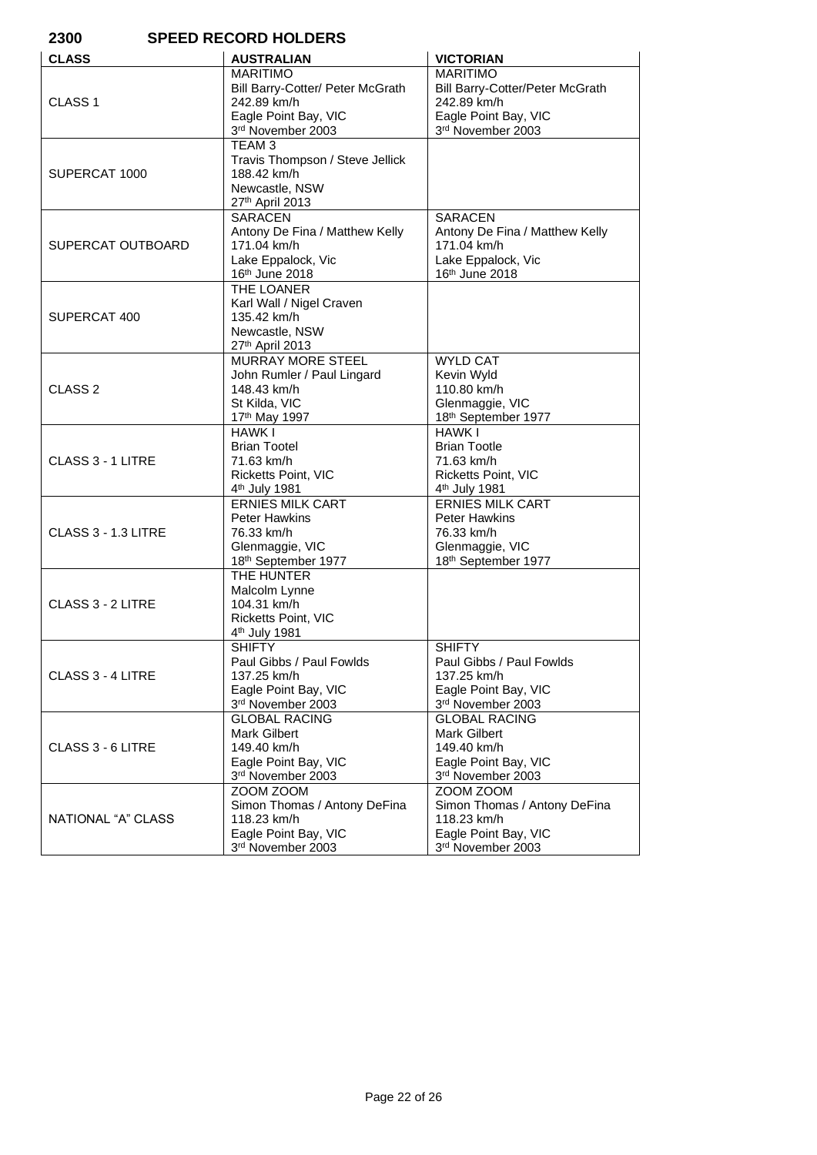| 2300<br><b>SPEED RECORD HOLDERS</b> |                                                                                                                 |                                                                                                                |
|-------------------------------------|-----------------------------------------------------------------------------------------------------------------|----------------------------------------------------------------------------------------------------------------|
| <b>CLASS</b>                        | <b>AUSTRALIAN</b>                                                                                               | <b>VICTORIAN</b>                                                                                               |
| CLASS <sub>1</sub>                  | <b>MARITIMO</b><br>Bill Barry-Cotter/ Peter McGrath<br>242.89 km/h<br>Eagle Point Bay, VIC<br>3rd November 2003 | <b>MARITIMO</b><br>Bill Barry-Cotter/Peter McGrath<br>242.89 km/h<br>Eagle Point Bay, VIC<br>3rd November 2003 |
| SUPERCAT 1000                       | TEAM 3<br>Travis Thompson / Steve Jellick<br>188.42 km/h<br>Newcastle, NSW<br>27th April 2013                   |                                                                                                                |
| SUPERCAT OUTBOARD                   | <b>SARACEN</b><br>Antony De Fina / Matthew Kelly<br>171.04 km/h<br>Lake Eppalock, Vic<br>16th June 2018         | <b>SARACEN</b><br>Antony De Fina / Matthew Kelly<br>171.04 km/h<br>Lake Eppalock, Vic<br>16th June 2018        |
| SUPERCAT 400                        | THE LOANER<br>Karl Wall / Nigel Craven<br>135.42 km/h<br>Newcastle, NSW<br>27th April 2013                      |                                                                                                                |
| CLASS <sub>2</sub>                  | <b>MURRAY MORE STEEL</b><br>John Rumler / Paul Lingard<br>148.43 km/h<br>St Kilda, VIC<br>17th May 1997         | <b>WYLD CAT</b><br>Kevin Wyld<br>110.80 km/h<br>Glenmaggie, VIC<br>18th September 1977                         |
| CLASS 3 - 1 LITRE                   | <b>HAWK I</b><br><b>Brian Tootel</b><br>71.63 km/h<br>Ricketts Point, VIC<br>4 <sup>th</sup> July 1981          | <b>HAWK I</b><br><b>Brian Tootle</b><br>71.63 km/h<br>Ricketts Point, VIC<br>4 <sup>th</sup> July 1981         |
| CLASS 3 - 1.3 LITRE                 | <b>ERNIES MILK CART</b><br><b>Peter Hawkins</b><br>76.33 km/h<br>Glenmaggie, VIC<br>18th September 1977         | <b>ERNIES MILK CART</b><br><b>Peter Hawkins</b><br>76.33 km/h<br>Glenmaggie, VIC<br>18th September 1977        |
| CLASS 3 - 2 LITRE                   | THE HUNTER<br>Malcolm Lynne<br>104.31 km/h<br>Ricketts Point, VIC<br>4 <sup>th</sup> July 1981                  |                                                                                                                |
| CLASS 3 - 4 LITRE                   | <b>SHIFTY</b><br>Paul Gibbs / Paul Fowlds<br>137.25 km/h<br>Eagle Point Bay, VIC<br>3rd November 2003           | <b>SHIFTY</b><br>Paul Gibbs / Paul Fowlds<br>137.25 km/h<br>Eagle Point Bay, VIC<br>3rd November 2003          |
| CLASS 3 - 6 LITRE                   | <b>GLOBAL RACING</b><br><b>Mark Gilbert</b><br>149.40 km/h<br>Eagle Point Bay, VIC<br>3rd November 2003         | <b>GLOBAL RACING</b><br><b>Mark Gilbert</b><br>149.40 km/h<br>Eagle Point Bay, VIC<br>3rd November 2003        |
| NATIONAL "A" CLASS                  | ZOOM ZOOM<br>Simon Thomas / Antony DeFina<br>118.23 km/h<br>Eagle Point Bay, VIC<br>3rd November 2003           | ZOOM ZOOM<br>Simon Thomas / Antony DeFina<br>118.23 km/h<br>Eagle Point Bay, VIC<br>3rd November 2003          |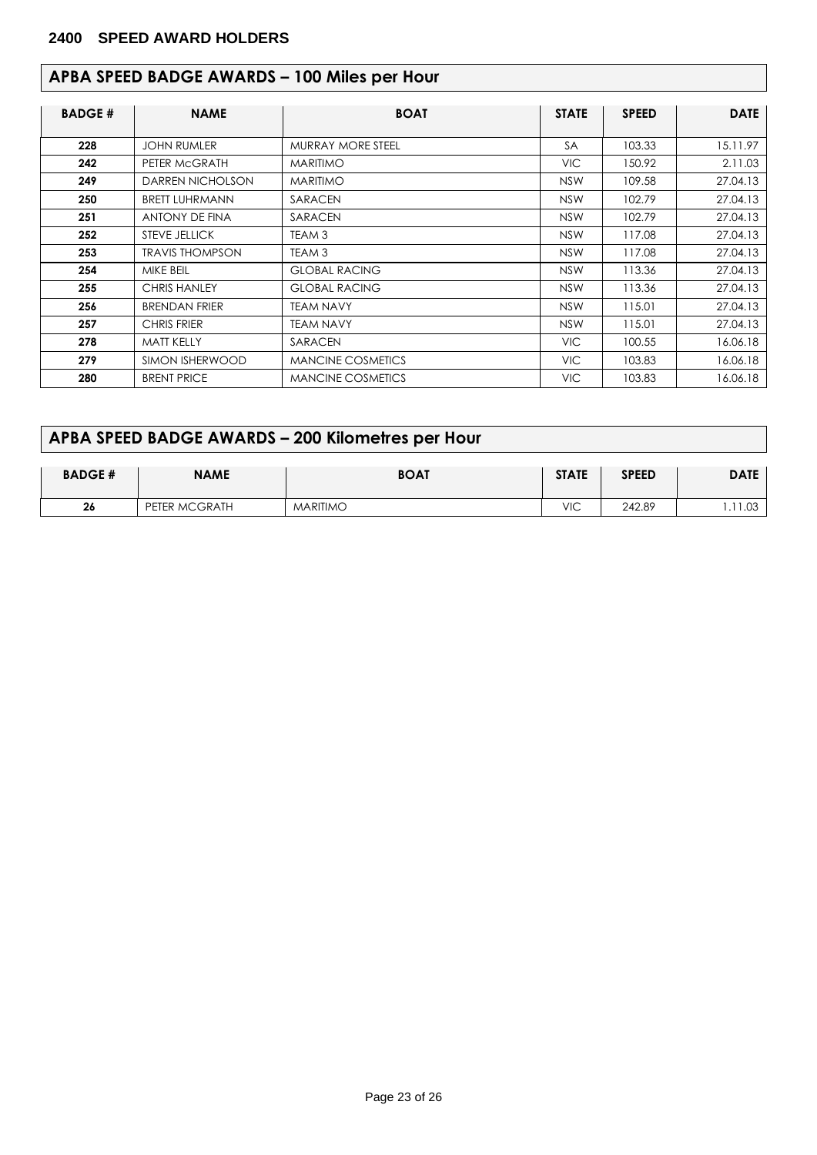# **APBA SPEED BADGE AWARDS – 100 Miles per Hour**

| <b>BADGE#</b> | <b>NAME</b>            | <b>BOAT</b>              | <b>STATE</b> | <b>SPEED</b> | <b>DATE</b> |
|---------------|------------------------|--------------------------|--------------|--------------|-------------|
| 228           | <b>JOHN RUMLER</b>     | MURRAY MORE STEEL        | <b>SA</b>    | 103.33       | 15.11.97    |
| 242           | PETER MCGRATH          | <b>MARITIMO</b>          | <b>VIC</b>   | 150.92       | 2.11.03     |
| 249           | DARREN NICHOLSON       | <b>MARITIMO</b>          | <b>NSW</b>   | 109.58       | 27.04.13    |
| 250           | <b>BRETT LUHRMANN</b>  | SARACEN                  | <b>NSW</b>   | 102.79       | 27.04.13    |
| 251           | ANTONY DE FINA         | SARACEN                  | <b>NSW</b>   | 102.79       | 27.04.13    |
| 252           | <b>STEVE JELLICK</b>   | TEAM 3                   | <b>NSW</b>   | 117.08       | 27.04.13    |
| 253           | <b>TRAVIS THOMPSON</b> | TEAM 3                   | <b>NSW</b>   | 117.08       | 27.04.13    |
| 254           | MIKE BEIL              | <b>GLOBAL RACING</b>     | <b>NSW</b>   | 113.36       | 27.04.13    |
| 255           | <b>CHRIS HANLEY</b>    | <b>GLOBAL RACING</b>     | <b>NSW</b>   | 113.36       | 27.04.13    |
| 256           | <b>BRENDAN FRIER</b>   | <b>TEAM NAVY</b>         | <b>NSW</b>   | 115.01       | 27.04.13    |
| 257           | <b>CHRIS FRIER</b>     | <b>TEAM NAVY</b>         | <b>NSW</b>   | 115.01       | 27.04.13    |
| 278           | <b>MATT KELLY</b>      | SARACEN                  | VIC.         | 100.55       | 16.06.18    |
| 279           | SIMON ISHERWOOD        | <b>MANCINE COSMETICS</b> | VIC.         | 103.83       | 16.06.18    |
| 280           | <b>BRENT PRICE</b>     | <b>MANCINE COSMETICS</b> | <b>VIC</b>   | 103.83       | 16.06.18    |

# **APBA SPEED BADGE AWARDS – 200 Kilometres per Hour**

| <b>BADGE#</b> | <b>NAME</b>   | <b>BOAT</b>     | <b>STATE</b> | <b>SPEED</b> | <b>DATE</b>      |
|---------------|---------------|-----------------|--------------|--------------|------------------|
| 26            | PETER MCGRATH | <b>MARITIMO</b> | VIC          | 242.89       | $\cap$<br>$\sim$ |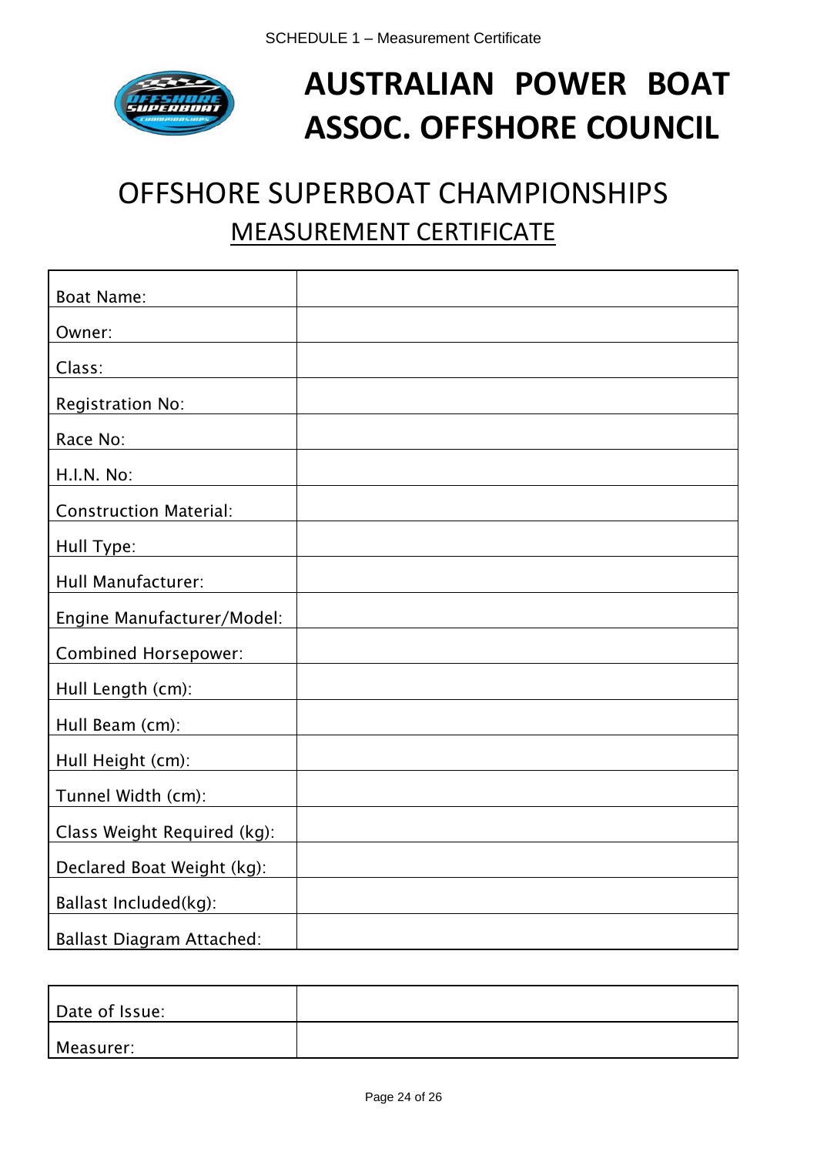

# **AUSTRALIAN POWER BOAT ASSOC. OFFSHORE COUNCIL**

# OFFSHORE SUPERBOAT CHAMPIONSHIPS MEASUREMENT CERTIFICATE

| <b>Boat Name:</b>                |  |
|----------------------------------|--|
| Owner:                           |  |
| Class:                           |  |
| <b>Registration No:</b>          |  |
| Race No:                         |  |
| H.I.N. No:                       |  |
| <b>Construction Material:</b>    |  |
| Hull Type:                       |  |
| Hull Manufacturer:               |  |
| Engine Manufacturer/Model:       |  |
| <b>Combined Horsepower:</b>      |  |
| Hull Length (cm):                |  |
| Hull Beam (cm):                  |  |
| Hull Height (cm):                |  |
| Tunnel Width (cm):               |  |
| Class Weight Required (kg):      |  |
| Declared Boat Weight (kg):       |  |
| Ballast Included(kg):            |  |
| <b>Ballast Diagram Attached:</b> |  |

| Date of Issue: |  |
|----------------|--|
| Measurer:      |  |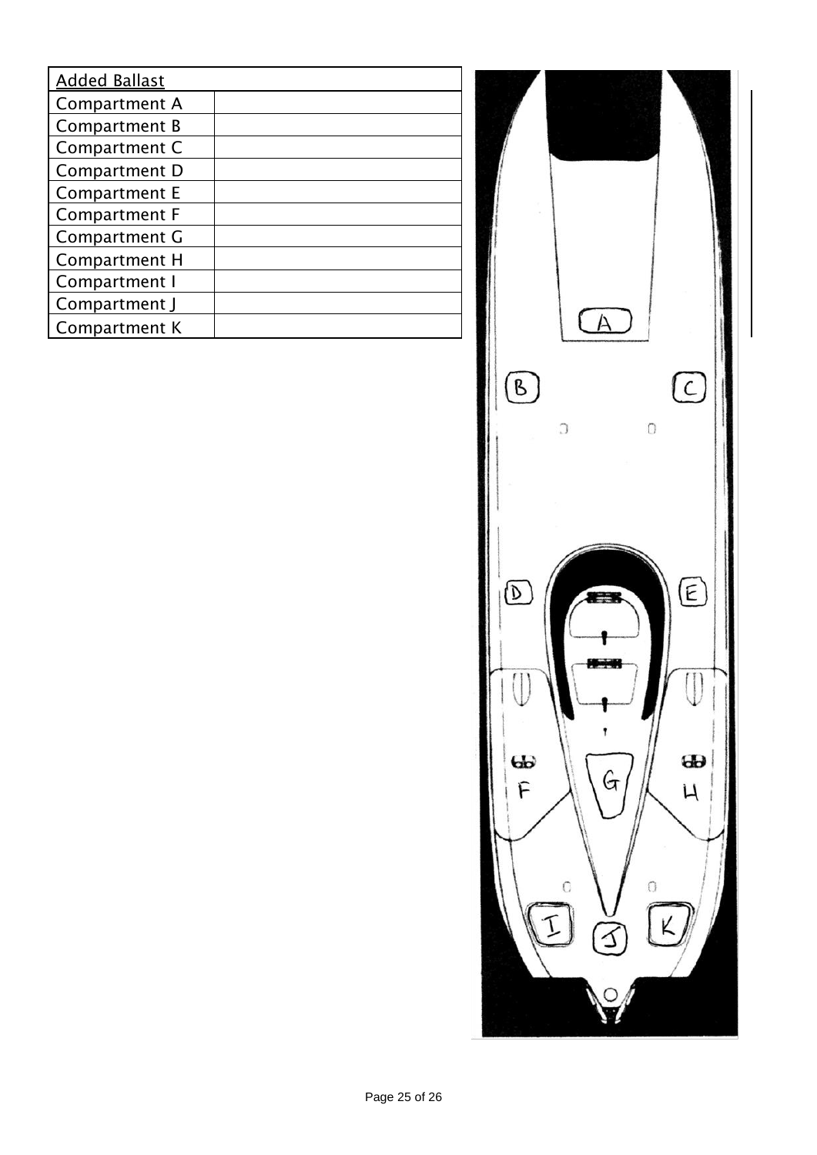| <b>Added Ballast</b> |  |
|----------------------|--|
| Compartment A        |  |
| Compartment B        |  |
| Compartment C        |  |
| Compartment D        |  |
| <b>Compartment E</b> |  |
| <b>Compartment F</b> |  |
| Compartment G        |  |
| Compartment H        |  |
| Compartment I        |  |
| Compartment J        |  |
| Compartment K        |  |